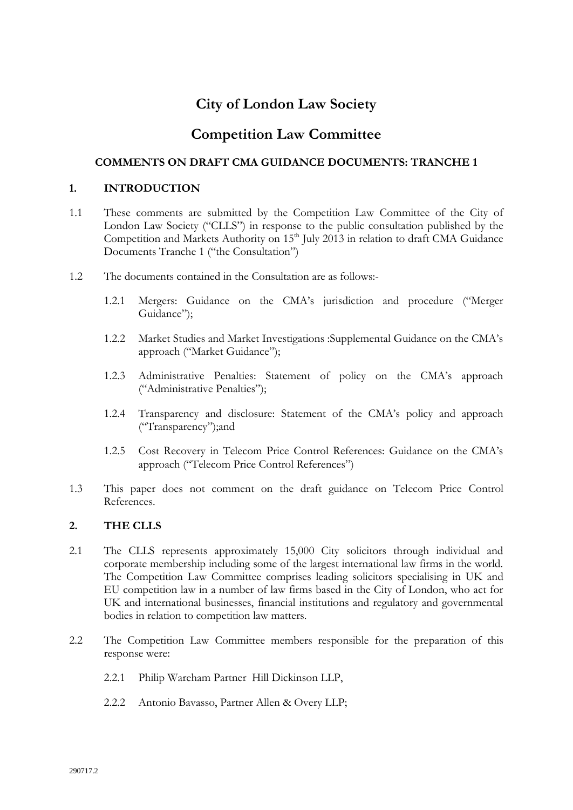# **City of London Law Society**

# **Competition Law Committee**

# **COMMENTS ON DRAFT CMA GUIDANCE DOCUMENTS: TRANCHE 1**

# **1. INTRODUCTION**

- 1.1 These comments are submitted by the Competition Law Committee of the City of London Law Society ("CLLS") in response to the public consultation published by the Competition and Markets Authority on 15<sup>th</sup> July 2013 in relation to draft CMA Guidance Documents Tranche 1 ("the Consultation")
- 1.2 The documents contained in the Consultation are as follows:-
	- 1.2.1 Mergers: Guidance on the CMA's jurisdiction and procedure ("Merger Guidance");
	- 1.2.2 Market Studies and Market Investigations :Supplemental Guidance on the CMA's approach ("Market Guidance");
	- 1.2.3 Administrative Penalties: Statement of policy on the CMA's approach ("Administrative Penalties");
	- 1.2.4 Transparency and disclosure: Statement of the CMA's policy and approach ("Transparency");and
	- 1.2.5 Cost Recovery in Telecom Price Control References: Guidance on the CMA's approach ("Telecom Price Control References")
- 1.3 This paper does not comment on the draft guidance on Telecom Price Control References.

# **2. THE CLLS**

- 2.1 The CLLS represents approximately 15,000 City solicitors through individual and corporate membership including some of the largest international law firms in the world. The Competition Law Committee comprises leading solicitors specialising in UK and EU competition law in a number of law firms based in the City of London, who act for UK and international businesses, financial institutions and regulatory and governmental bodies in relation to competition law matters.
- 2.2 The Competition Law Committee members responsible for the preparation of this response were:
	- 2.2.1 Philip Wareham Partner Hill Dickinson LLP,
	- 2.2.2 Antonio Bavasso, Partner Allen & Overy LLP;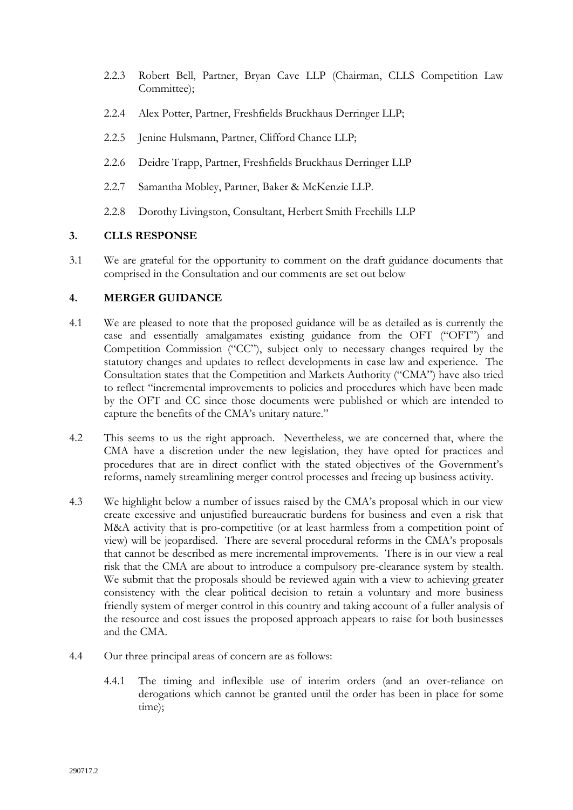- 2.2.3 Robert Bell, Partner, Bryan Cave LLP (Chairman, CLLS Competition Law Committee);
- 2.2.4 Alex Potter, Partner, Freshfields Bruckhaus Derringer LLP;
- 2.2.5 Jenine Hulsmann, Partner, Clifford Chance LLP;
- 2.2.6 Deidre Trapp, Partner, Freshfields Bruckhaus Derringer LLP
- 2.2.7 Samantha Mobley, Partner, Baker & McKenzie LLP.
- 2.2.8 Dorothy Livingston, Consultant, Herbert Smith Freehills LLP

# **3. CLLS RESPONSE**

3.1 We are grateful for the opportunity to comment on the draft guidance documents that comprised in the Consultation and our comments are set out below

# **4. MERGER GUIDANCE**

- 4.1 We are pleased to note that the proposed guidance will be as detailed as is currently the case and essentially amalgamates existing guidance from the OFT ("OFT") and Competition Commission ("CC"), subject only to necessary changes required by the statutory changes and updates to reflect developments in case law and experience. The Consultation states that the Competition and Markets Authority ("CMA") have also tried to reflect "incremental improvements to policies and procedures which have been made by the OFT and CC since those documents were published or which are intended to capture the benefits of the CMA's unitary nature."
- 4.2 This seems to us the right approach. Nevertheless, we are concerned that, where the CMA have a discretion under the new legislation, they have opted for practices and procedures that are in direct conflict with the stated objectives of the Government's reforms, namely streamlining merger control processes and freeing up business activity.
- 4.3 We highlight below a number of issues raised by the CMA's proposal which in our view create excessive and unjustified bureaucratic burdens for business and even a risk that M&A activity that is pro-competitive (or at least harmless from a competition point of view) will be jeopardised. There are several procedural reforms in the CMA's proposals that cannot be described as mere incremental improvements. There is in our view a real risk that the CMA are about to introduce a compulsory pre-clearance system by stealth. We submit that the proposals should be reviewed again with a view to achieving greater consistency with the clear political decision to retain a voluntary and more business friendly system of merger control in this country and taking account of a fuller analysis of the resource and cost issues the proposed approach appears to raise for both businesses and the CMA.
- 4.4 Our three principal areas of concern are as follows:
	- 4.4.1 The timing and inflexible use of interim orders (and an over-reliance on derogations which cannot be granted until the order has been in place for some time);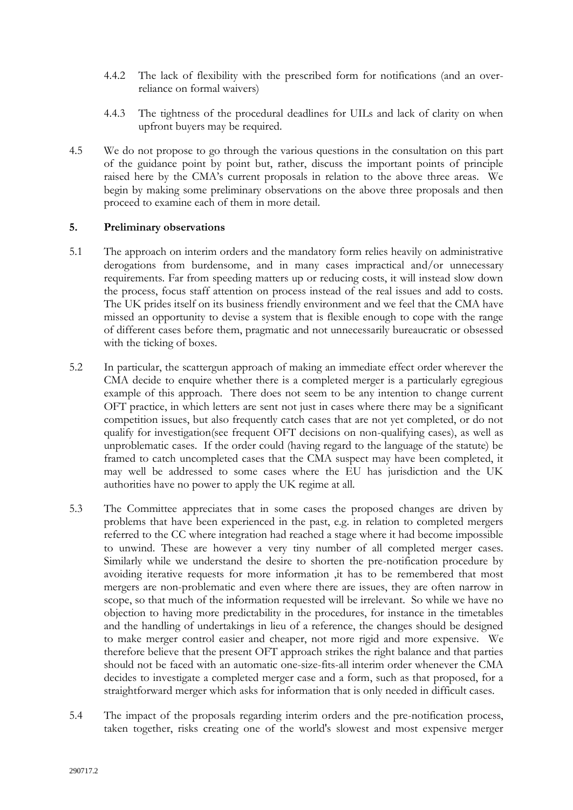- 4.4.2 The lack of flexibility with the prescribed form for notifications (and an overreliance on formal waivers)
- 4.4.3 The tightness of the procedural deadlines for UILs and lack of clarity on when upfront buyers may be required.
- 4.5 We do not propose to go through the various questions in the consultation on this part of the guidance point by point but, rather, discuss the important points of principle raised here by the CMA's current proposals in relation to the above three areas. We begin by making some preliminary observations on the above three proposals and then proceed to examine each of them in more detail.

### **5. Preliminary observations**

- 5.1 The approach on interim orders and the mandatory form relies heavily on administrative derogations from burdensome, and in many cases impractical and/or unnecessary requirements. Far from speeding matters up or reducing costs, it will instead slow down the process, focus staff attention on process instead of the real issues and add to costs. The UK prides itself on its business friendly environment and we feel that the CMA have missed an opportunity to devise a system that is flexible enough to cope with the range of different cases before them, pragmatic and not unnecessarily bureaucratic or obsessed with the ticking of boxes.
- 5.2 In particular, the scattergun approach of making an immediate effect order wherever the CMA decide to enquire whether there is a completed merger is a particularly egregious example of this approach. There does not seem to be any intention to change current OFT practice, in which letters are sent not just in cases where there may be a significant competition issues, but also frequently catch cases that are not yet completed, or do not qualify for investigation(see frequent OFT decisions on non-qualifying cases), as well as unproblematic cases. If the order could (having regard to the language of the statute) be framed to catch uncompleted cases that the CMA suspect may have been completed, it may well be addressed to some cases where the EU has jurisdiction and the UK authorities have no power to apply the UK regime at all.
- 5.3 The Committee appreciates that in some cases the proposed changes are driven by problems that have been experienced in the past, e.g. in relation to completed mergers referred to the CC where integration had reached a stage where it had become impossible to unwind. These are however a very tiny number of all completed merger cases. Similarly while we understand the desire to shorten the pre-notification procedure by avoiding iterative requests for more information ,it has to be remembered that most mergers are non-problematic and even where there are issues, they are often narrow in scope, so that much of the information requested will be irrelevant. So while we have no objection to having more predictability in the procedures, for instance in the timetables and the handling of undertakings in lieu of a reference, the changes should be designed to make merger control easier and cheaper, not more rigid and more expensive. We therefore believe that the present OFT approach strikes the right balance and that parties should not be faced with an automatic one-size-fits-all interim order whenever the CMA decides to investigate a completed merger case and a form, such as that proposed, for a straightforward merger which asks for information that is only needed in difficult cases.
- 5.4 The impact of the proposals regarding interim orders and the pre-notification process, taken together, risks creating one of the world's slowest and most expensive merger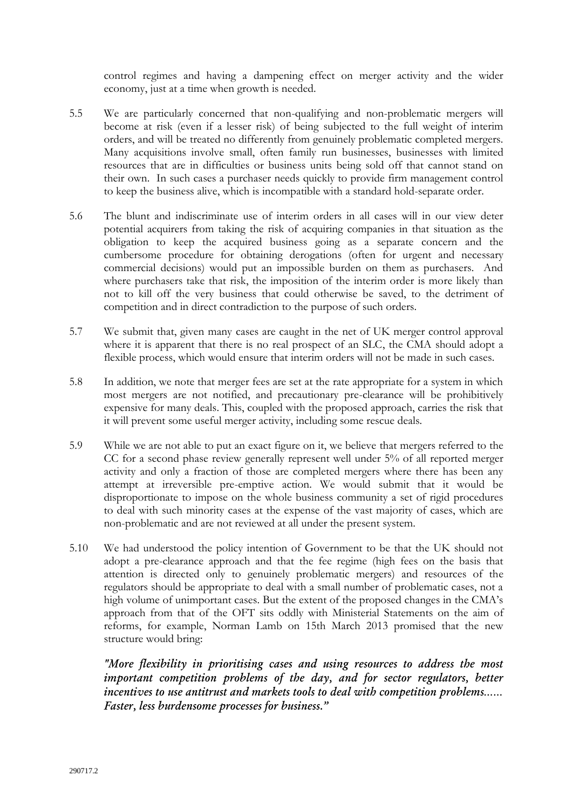control regimes and having a dampening effect on merger activity and the wider economy, just at a time when growth is needed.

- 5.5 We are particularly concerned that non-qualifying and non-problematic mergers will become at risk (even if a lesser risk) of being subjected to the full weight of interim orders, and will be treated no differently from genuinely problematic completed mergers. Many acquisitions involve small, often family run businesses, businesses with limited resources that are in difficulties or business units being sold off that cannot stand on their own. In such cases a purchaser needs quickly to provide firm management control to keep the business alive, which is incompatible with a standard hold-separate order.
- 5.6 The blunt and indiscriminate use of interim orders in all cases will in our view deter potential acquirers from taking the risk of acquiring companies in that situation as the obligation to keep the acquired business going as a separate concern and the cumbersome procedure for obtaining derogations (often for urgent and necessary commercial decisions) would put an impossible burden on them as purchasers. And where purchasers take that risk, the imposition of the interim order is more likely than not to kill off the very business that could otherwise be saved, to the detriment of competition and in direct contradiction to the purpose of such orders.
- 5.7 We submit that, given many cases are caught in the net of UK merger control approval where it is apparent that there is no real prospect of an SLC, the CMA should adopt a flexible process, which would ensure that interim orders will not be made in such cases.
- 5.8 In addition, we note that merger fees are set at the rate appropriate for a system in which most mergers are not notified, and precautionary pre-clearance will be prohibitively expensive for many deals. This, coupled with the proposed approach, carries the risk that it will prevent some useful merger activity, including some rescue deals.
- 5.9 While we are not able to put an exact figure on it, we believe that mergers referred to the CC for a second phase review generally represent well under 5% of all reported merger activity and only a fraction of those are completed mergers where there has been any attempt at irreversible pre-emptive action. We would submit that it would be disproportionate to impose on the whole business community a set of rigid procedures to deal with such minority cases at the expense of the vast majority of cases, which are non-problematic and are not reviewed at all under the present system.
- 5.10 We had understood the policy intention of Government to be that the UK should not adopt a pre-clearance approach and that the fee regime (high fees on the basis that attention is directed only to genuinely problematic mergers) and resources of the regulators should be appropriate to deal with a small number of problematic cases, not a high volume of unimportant cases. But the extent of the proposed changes in the CMA's approach from that of the OFT sits oddly with Ministerial Statements on the aim of reforms, for example, Norman Lamb on 15th March 2013 promised that the new structure would bring:

*"More flexibility in prioritising cases and using resources to address the most important competition problems of the day, and for sector regulators, better incentives to use antitrust and markets tools to deal with competition problems…… Faster, less burdensome processes for business."*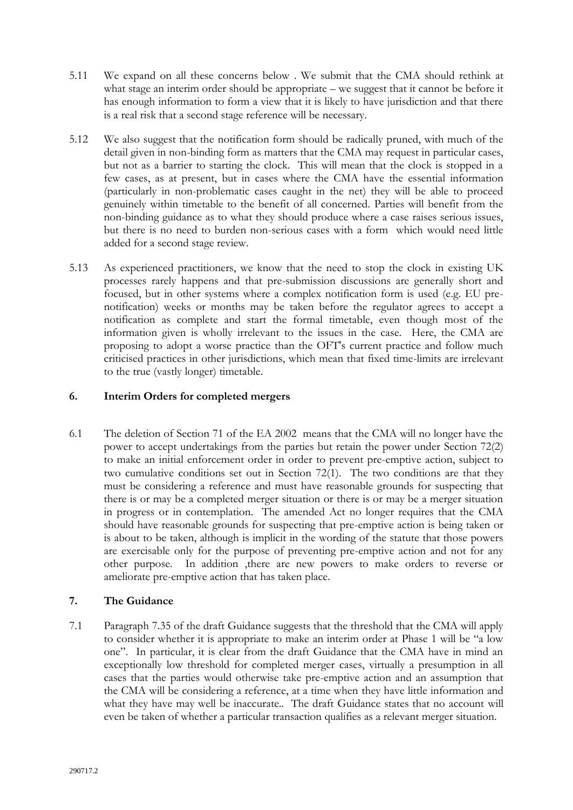- 5.11 We expand on all these concerns below . We submit that the CMA should rethink at what stage an interim order should be appropriate – we suggest that it cannot be before it has enough information to form a view that it is likely to have jurisdiction and that there is a real risk that a second stage reference will be necessary.
- 5.12 We also suggest that the notification form should be radically pruned, with much of the detail given in non-binding form as matters that the CMA may request in particular cases, but not as a barrier to starting the clock. This will mean that the clock is stopped in a few cases, as at present, but in cases where the CMA have the essential information (particularly in non-problematic cases caught in the net) they will be able to proceed genuinely within timetable to the benefit of all concerned. Parties will benefit from the non-binding guidance as to what they should produce where a case raises serious issues, but there is no need to burden non-serious cases with a form which would need little added for a second stage review.
- 5.13 As experienced practitioners, we know that the need to stop the clock in existing UK processes rarely happens and that pre-submission discussions are generally short and focused, but in other systems where a complex notification form is used (e.g. EU prenotification) weeks or months may be taken before the regulator agrees to accept a notification as complete and start the formal timetable, even though most of the information given is wholly irrelevant to the issues in the case. Here, the CMA are proposing to adopt a worse practice than the OFT's current practice and follow much criticised practices in other jurisdictions, which mean that fixed time-limits are irrelevant to the true (vastly longer) timetable.

# **6. Interim Orders for completed mergers**

6.1 The deletion of Section 71 of the EA 2002 means that the CMA will no longer have the power to accept undertakings from the parties but retain the power under Section 72(2) to make an initial enforcement order in order to prevent pre-emptive action, subject to two cumulative conditions set out in Section 72(1). The two conditions are that they must be considering a reference and must have reasonable grounds for suspecting that there is or may be a completed merger situation or there is or may be a merger situation in progress or in contemplation. The amended Act no longer requires that the CMA should have reasonable grounds for suspecting that pre-emptive action is being taken or is about to be taken, although is implicit in the wording of the statute that those powers are exercisable only for the purpose of preventing pre-emptive action and not for any other purpose. In addition ,there are new powers to make orders to reverse or ameliorate pre-emptive action that has taken place.

# **7. The Guidance**

7.1 Paragraph 7.35 of the draft Guidance suggests that the threshold that the CMA will apply to consider whether it is appropriate to make an interim order at Phase 1 will be "a low one". In particular, it is clear from the draft Guidance that the CMA have in mind an exceptionally low threshold for completed merger cases, virtually a presumption in all cases that the parties would otherwise take pre-emptive action and an assumption that the CMA will be considering a reference, at a time when they have little information and what they have may well be inaccurate.. The draft Guidance states that no account will even be taken of whether a particular transaction qualifies as a relevant merger situation.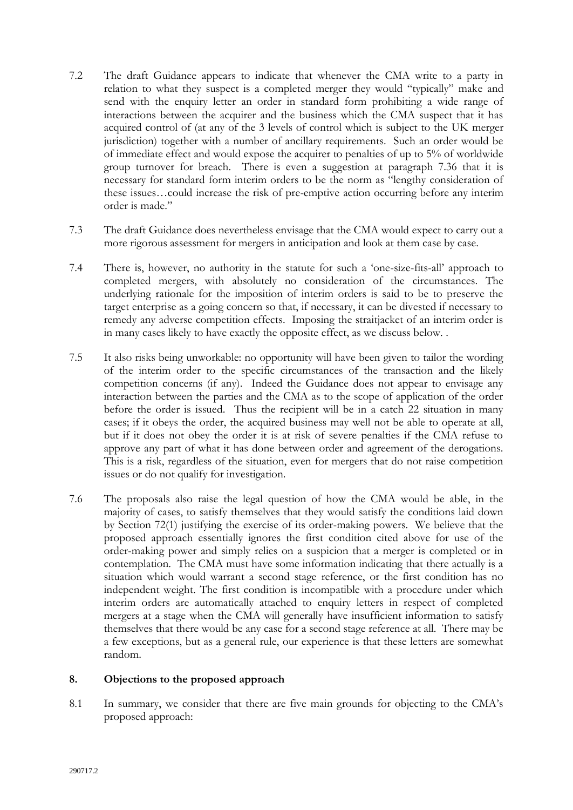- 7.2 The draft Guidance appears to indicate that whenever the CMA write to a party in relation to what they suspect is a completed merger they would "typically" make and send with the enquiry letter an order in standard form prohibiting a wide range of interactions between the acquirer and the business which the CMA suspect that it has acquired control of (at any of the 3 levels of control which is subject to the UK merger jurisdiction) together with a number of ancillary requirements. Such an order would be of immediate effect and would expose the acquirer to penalties of up to 5% of worldwide group turnover for breach. There is even a suggestion at paragraph 7.36 that it is necessary for standard form interim orders to be the norm as "lengthy consideration of these issues…could increase the risk of pre-emptive action occurring before any interim order is made."
- 7.3 The draft Guidance does nevertheless envisage that the CMA would expect to carry out a more rigorous assessment for mergers in anticipation and look at them case by case.
- 7.4 There is, however, no authority in the statute for such a 'one-size-fits-all' approach to completed mergers, with absolutely no consideration of the circumstances. The underlying rationale for the imposition of interim orders is said to be to preserve the target enterprise as a going concern so that, if necessary, it can be divested if necessary to remedy any adverse competition effects. Imposing the straitjacket of an interim order is in many cases likely to have exactly the opposite effect, as we discuss below. .
- 7.5 It also risks being unworkable: no opportunity will have been given to tailor the wording of the interim order to the specific circumstances of the transaction and the likely competition concerns (if any). Indeed the Guidance does not appear to envisage any interaction between the parties and the CMA as to the scope of application of the order before the order is issued. Thus the recipient will be in a catch 22 situation in many cases; if it obeys the order, the acquired business may well not be able to operate at all, but if it does not obey the order it is at risk of severe penalties if the CMA refuse to approve any part of what it has done between order and agreement of the derogations. This is a risk, regardless of the situation, even for mergers that do not raise competition issues or do not qualify for investigation.
- 7.6 The proposals also raise the legal question of how the CMA would be able, in the majority of cases, to satisfy themselves that they would satisfy the conditions laid down by Section 72(1) justifying the exercise of its order-making powers. We believe that the proposed approach essentially ignores the first condition cited above for use of the order-making power and simply relies on a suspicion that a merger is completed or in contemplation. The CMA must have some information indicating that there actually is a situation which would warrant a second stage reference, or the first condition has no independent weight. The first condition is incompatible with a procedure under which interim orders are automatically attached to enquiry letters in respect of completed mergers at a stage when the CMA will generally have insufficient information to satisfy themselves that there would be any case for a second stage reference at all. There may be a few exceptions, but as a general rule, our experience is that these letters are somewhat random.

#### **8. Objections to the proposed approach**

8.1 In summary, we consider that there are five main grounds for objecting to the CMA's proposed approach: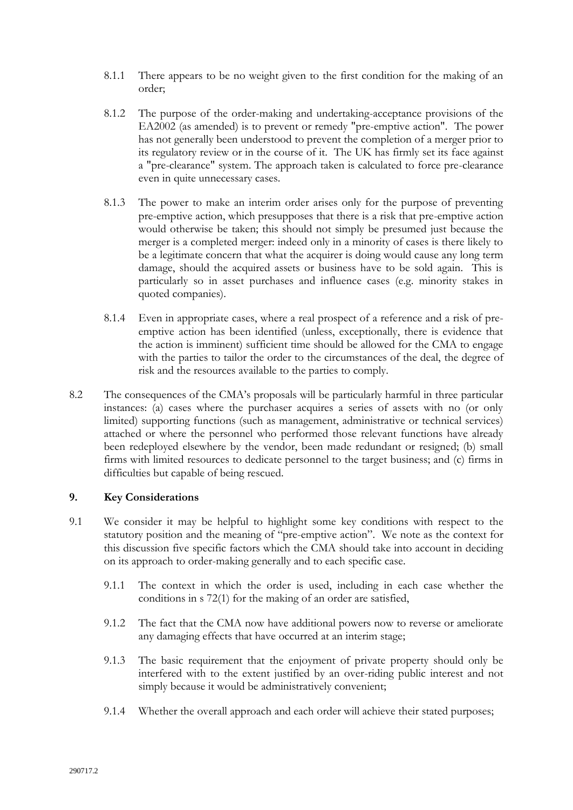- 8.1.1 There appears to be no weight given to the first condition for the making of an order;
- 8.1.2 The purpose of the order-making and undertaking-acceptance provisions of the EA2002 (as amended) is to prevent or remedy "pre-emptive action". The power has not generally been understood to prevent the completion of a merger prior to its regulatory review or in the course of it. The UK has firmly set its face against a "pre-clearance" system. The approach taken is calculated to force pre-clearance even in quite unnecessary cases.
- 8.1.3 The power to make an interim order arises only for the purpose of preventing pre-emptive action, which presupposes that there is a risk that pre-emptive action would otherwise be taken; this should not simply be presumed just because the merger is a completed merger: indeed only in a minority of cases is there likely to be a legitimate concern that what the acquirer is doing would cause any long term damage, should the acquired assets or business have to be sold again. This is particularly so in asset purchases and influence cases (e.g. minority stakes in quoted companies).
- 8.1.4 Even in appropriate cases, where a real prospect of a reference and a risk of preemptive action has been identified (unless, exceptionally, there is evidence that the action is imminent) sufficient time should be allowed for the CMA to engage with the parties to tailor the order to the circumstances of the deal, the degree of risk and the resources available to the parties to comply.
- 8.2 The consequences of the CMA's proposals will be particularly harmful in three particular instances: (a) cases where the purchaser acquires a series of assets with no (or only limited) supporting functions (such as management, administrative or technical services) attached or where the personnel who performed those relevant functions have already been redeployed elsewhere by the vendor, been made redundant or resigned; (b) small firms with limited resources to dedicate personnel to the target business; and (c) firms in difficulties but capable of being rescued.

# **9. Key Considerations**

- 9.1 We consider it may be helpful to highlight some key conditions with respect to the statutory position and the meaning of "pre-emptive action". We note as the context for this discussion five specific factors which the CMA should take into account in deciding on its approach to order-making generally and to each specific case.
	- 9.1.1 The context in which the order is used, including in each case whether the conditions in s 72(1) for the making of an order are satisfied,
	- 9.1.2 The fact that the CMA now have additional powers now to reverse or ameliorate any damaging effects that have occurred at an interim stage;
	- 9.1.3 The basic requirement that the enjoyment of private property should only be interfered with to the extent justified by an over-riding public interest and not simply because it would be administratively convenient;
	- 9.1.4 Whether the overall approach and each order will achieve their stated purposes;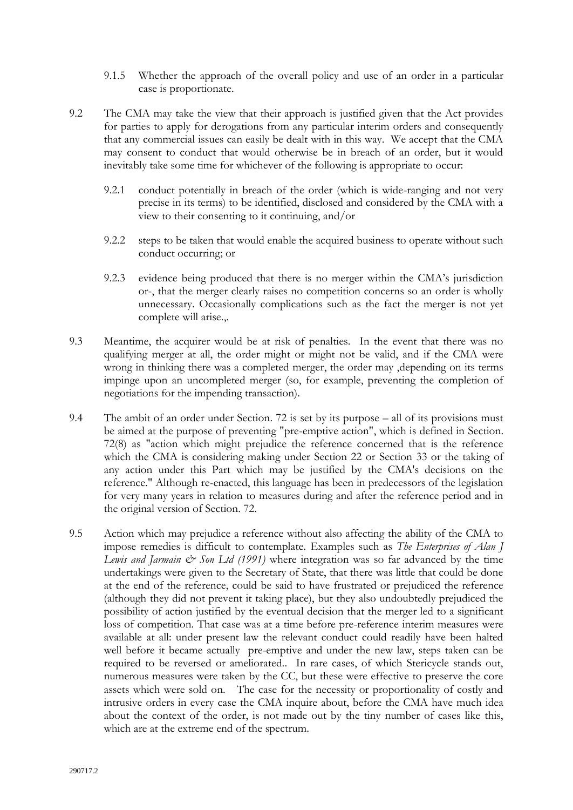- 9.1.5 Whether the approach of the overall policy and use of an order in a particular case is proportionate.
- 9.2 The CMA may take the view that their approach is justified given that the Act provides for parties to apply for derogations from any particular interim orders and consequently that any commercial issues can easily be dealt with in this way. We accept that the CMA may consent to conduct that would otherwise be in breach of an order, but it would inevitably take some time for whichever of the following is appropriate to occur:
	- 9.2.1 conduct potentially in breach of the order (which is wide-ranging and not very precise in its terms) to be identified, disclosed and considered by the CMA with a view to their consenting to it continuing, and/or
	- 9.2.2 steps to be taken that would enable the acquired business to operate without such conduct occurring; or
	- 9.2.3 evidence being produced that there is no merger within the CMA's jurisdiction or-, that the merger clearly raises no competition concerns so an order is wholly unnecessary. Occasionally complications such as the fact the merger is not yet complete will arise.,.
- 9.3 Meantime, the acquirer would be at risk of penalties. In the event that there was no qualifying merger at all, the order might or might not be valid, and if the CMA were wrong in thinking there was a completed merger, the order may ,depending on its terms impinge upon an uncompleted merger (so, for example, preventing the completion of negotiations for the impending transaction).
- 9.4 The ambit of an order under Section. 72 is set by its purpose all of its provisions must be aimed at the purpose of preventing "pre-emptive action", which is defined in Section. 72(8) as "action which might prejudice the reference concerned that is the reference which the CMA is considering making under Section 22 or Section 33 or the taking of any action under this Part which may be justified by the CMA's decisions on the reference." Although re-enacted, this language has been in predecessors of the legislation for very many years in relation to measures during and after the reference period and in the original version of Section. 72.
- 9.5 Action which may prejudice a reference without also affecting the ability of the CMA to impose remedies is difficult to contemplate. Examples such as *The Enterprises of Alan J Lewis and Jarmain*  $\mathcal{O}$  *Son Ltd (1991)* where integration was so far advanced by the time undertakings were given to the Secretary of State, that there was little that could be done at the end of the reference, could be said to have frustrated or prejudiced the reference (although they did not prevent it taking place), but they also undoubtedly prejudiced the possibility of action justified by the eventual decision that the merger led to a significant loss of competition. That case was at a time before pre-reference interim measures were available at all: under present law the relevant conduct could readily have been halted well before it became actually pre-emptive and under the new law, steps taken can be required to be reversed or ameliorated.. In rare cases, of which Stericycle stands out, numerous measures were taken by the CC, but these were effective to preserve the core assets which were sold on. The case for the necessity or proportionality of costly and intrusive orders in every case the CMA inquire about, before the CMA have much idea about the context of the order, is not made out by the tiny number of cases like this, which are at the extreme end of the spectrum.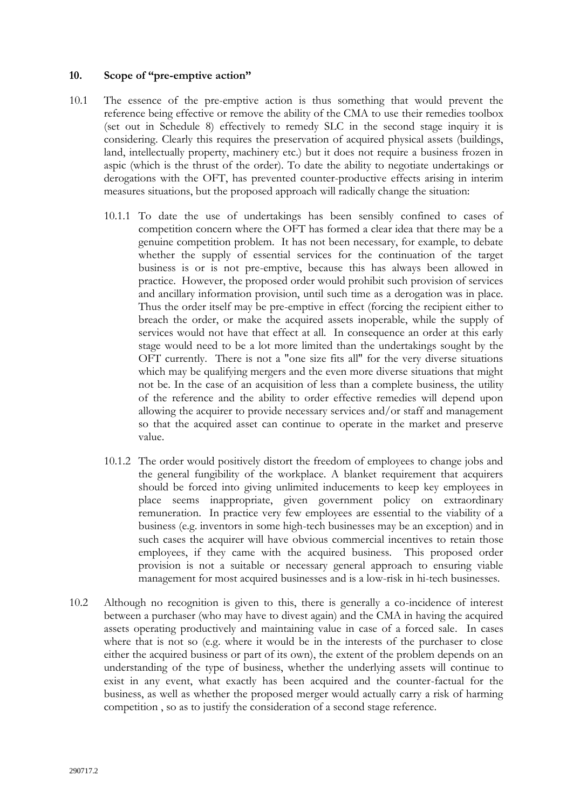### **10. Scope of "pre-emptive action"**

- 10.1 The essence of the pre-emptive action is thus something that would prevent the reference being effective or remove the ability of the CMA to use their remedies toolbox (set out in Schedule 8) effectively to remedy SLC in the second stage inquiry it is considering. Clearly this requires the preservation of acquired physical assets (buildings, land, intellectually property, machinery etc.) but it does not require a business frozen in aspic (which is the thrust of the order). To date the ability to negotiate undertakings or derogations with the OFT, has prevented counter-productive effects arising in interim measures situations, but the proposed approach will radically change the situation:
	- 10.1.1 To date the use of undertakings has been sensibly confined to cases of competition concern where the OFT has formed a clear idea that there may be a genuine competition problem. It has not been necessary, for example, to debate whether the supply of essential services for the continuation of the target business is or is not pre-emptive, because this has always been allowed in practice. However, the proposed order would prohibit such provision of services and ancillary information provision, until such time as a derogation was in place. Thus the order itself may be pre-emptive in effect (forcing the recipient either to breach the order, or make the acquired assets inoperable, while the supply of services would not have that effect at all. In consequence an order at this early stage would need to be a lot more limited than the undertakings sought by the OFT currently. There is not a "one size fits all" for the very diverse situations which may be qualifying mergers and the even more diverse situations that might not be. In the case of an acquisition of less than a complete business, the utility of the reference and the ability to order effective remedies will depend upon allowing the acquirer to provide necessary services and/or staff and management so that the acquired asset can continue to operate in the market and preserve value.
	- 10.1.2 The order would positively distort the freedom of employees to change jobs and the general fungibility of the workplace. A blanket requirement that acquirers should be forced into giving unlimited inducements to keep key employees in place seems inappropriate, given government policy on extraordinary remuneration. In practice very few employees are essential to the viability of a business (e.g. inventors in some high-tech businesses may be an exception) and in such cases the acquirer will have obvious commercial incentives to retain those employees, if they came with the acquired business. This proposed order provision is not a suitable or necessary general approach to ensuring viable management for most acquired businesses and is a low-risk in hi-tech businesses.
- 10.2 Although no recognition is given to this, there is generally a co-incidence of interest between a purchaser (who may have to divest again) and the CMA in having the acquired assets operating productively and maintaining value in case of a forced sale. In cases where that is not so (e.g. where it would be in the interests of the purchaser to close either the acquired business or part of its own), the extent of the problem depends on an understanding of the type of business, whether the underlying assets will continue to exist in any event, what exactly has been acquired and the counter-factual for the business, as well as whether the proposed merger would actually carry a risk of harming competition , so as to justify the consideration of a second stage reference.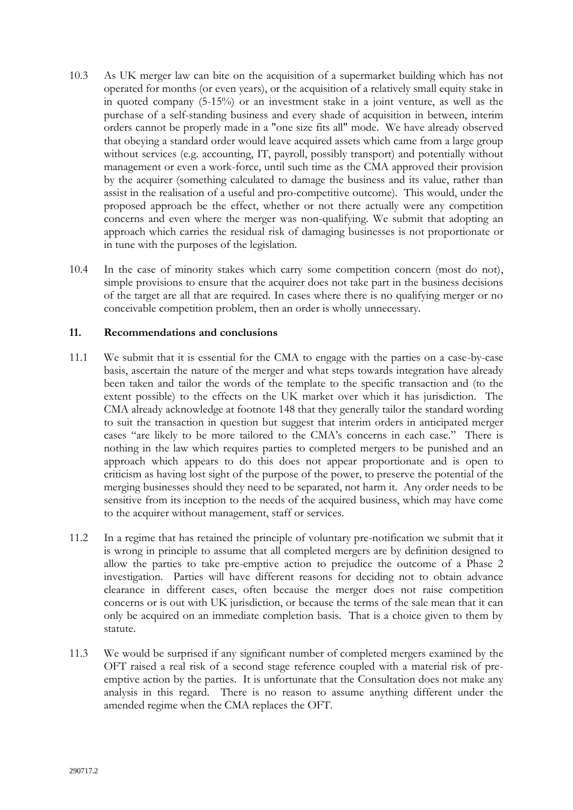- 10.3 As UK merger law can bite on the acquisition of a supermarket building which has not operated for months (or even years), or the acquisition of a relatively small equity stake in in quoted company (5-15%) or an investment stake in a joint venture, as well as the purchase of a self-standing business and every shade of acquisition in between, interim orders cannot be properly made in a "one size fits all" mode. We have already observed that obeying a standard order would leave acquired assets which came from a large group without services (e.g. accounting, IT, payroll, possibly transport) and potentially without management or even a work-force, until such time as the CMA approved their provision by the acquirer (something calculated to damage the business and its value, rather than assist in the realisation of a useful and pro-competitive outcome). This would, under the proposed approach be the effect, whether or not there actually were any competition concerns and even where the merger was non-qualifying. We submit that adopting an approach which carries the residual risk of damaging businesses is not proportionate or in tune with the purposes of the legislation.
- 10.4 In the case of minority stakes which carry some competition concern (most do not), simple provisions to ensure that the acquirer does not take part in the business decisions of the target are all that are required. In cases where there is no qualifying merger or no conceivable competition problem, then an order is wholly unnecessary.

### **11. Recommendations and conclusions**

- 11.1 We submit that it is essential for the CMA to engage with the parties on a case-by-case basis, ascertain the nature of the merger and what steps towards integration have already been taken and tailor the words of the template to the specific transaction and (to the extent possible) to the effects on the UK market over which it has jurisdiction. The CMA already acknowledge at footnote 148 that they generally tailor the standard wording to suit the transaction in question but suggest that interim orders in anticipated merger cases "are likely to be more tailored to the CMA's concerns in each case." There is nothing in the law which requires parties to completed mergers to be punished and an approach which appears to do this does not appear proportionate and is open to criticism as having lost sight of the purpose of the power, to preserve the potential of the merging businesses should they need to be separated, not harm it. Any order needs to be sensitive from its inception to the needs of the acquired business, which may have come to the acquirer without management, staff or services.
- 11.2 In a regime that has retained the principle of voluntary pre-notification we submit that it is wrong in principle to assume that all completed mergers are by definition designed to allow the parties to take pre-emptive action to prejudice the outcome of a Phase 2 investigation. Parties will have different reasons for deciding not to obtain advance clearance in different cases, often because the merger does not raise competition concerns or is out with UK jurisdiction, or because the terms of the sale mean that it can only be acquired on an immediate completion basis. That is a choice given to them by statute.
- 11.3 We would be surprised if any significant number of completed mergers examined by the OFT raised a real risk of a second stage reference coupled with a material risk of preemptive action by the parties. It is unfortunate that the Consultation does not make any analysis in this regard. There is no reason to assume anything different under the amended regime when the CMA replaces the OFT.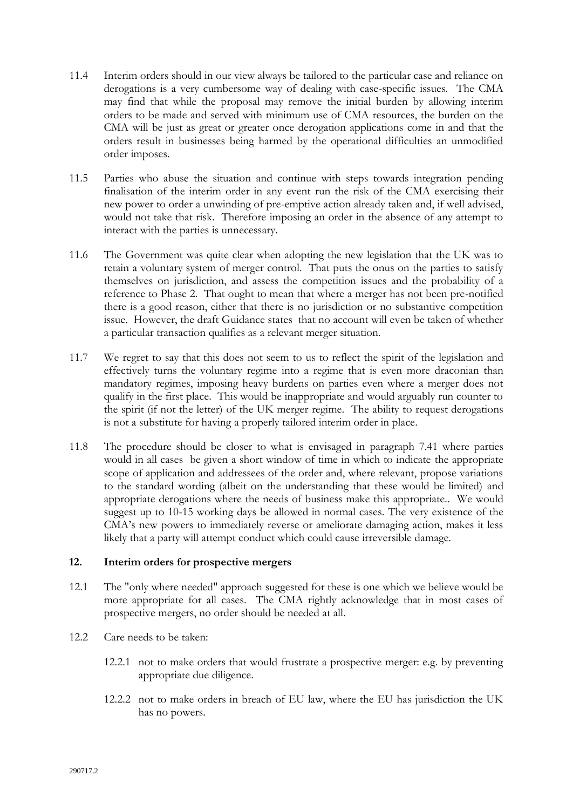- 11.4 Interim orders should in our view always be tailored to the particular case and reliance on derogations is a very cumbersome way of dealing with case-specific issues. The CMA may find that while the proposal may remove the initial burden by allowing interim orders to be made and served with minimum use of CMA resources, the burden on the CMA will be just as great or greater once derogation applications come in and that the orders result in businesses being harmed by the operational difficulties an unmodified order imposes.
- 11.5 Parties who abuse the situation and continue with steps towards integration pending finalisation of the interim order in any event run the risk of the CMA exercising their new power to order a unwinding of pre-emptive action already taken and, if well advised, would not take that risk. Therefore imposing an order in the absence of any attempt to interact with the parties is unnecessary.
- 11.6 The Government was quite clear when adopting the new legislation that the UK was to retain a voluntary system of merger control. That puts the onus on the parties to satisfy themselves on jurisdiction, and assess the competition issues and the probability of a reference to Phase 2. That ought to mean that where a merger has not been pre-notified there is a good reason, either that there is no jurisdiction or no substantive competition issue. However, the draft Guidance states that no account will even be taken of whether a particular transaction qualifies as a relevant merger situation.
- 11.7 We regret to say that this does not seem to us to reflect the spirit of the legislation and effectively turns the voluntary regime into a regime that is even more draconian than mandatory regimes, imposing heavy burdens on parties even where a merger does not qualify in the first place. This would be inappropriate and would arguably run counter to the spirit (if not the letter) of the UK merger regime. The ability to request derogations is not a substitute for having a properly tailored interim order in place.
- 11.8 The procedure should be closer to what is envisaged in paragraph 7.41 where parties would in all cases be given a short window of time in which to indicate the appropriate scope of application and addressees of the order and, where relevant, propose variations to the standard wording (albeit on the understanding that these would be limited) and appropriate derogations where the needs of business make this appropriate.. We would suggest up to 10-15 working days be allowed in normal cases. The very existence of the CMA's new powers to immediately reverse or ameliorate damaging action, makes it less likely that a party will attempt conduct which could cause irreversible damage.

# **12. Interim orders for prospective mergers**

- 12.1 The "only where needed" approach suggested for these is one which we believe would be more appropriate for all cases. The CMA rightly acknowledge that in most cases of prospective mergers, no order should be needed at all.
- 12.2 Care needs to be taken:
	- 12.2.1 not to make orders that would frustrate a prospective merger: e.g. by preventing appropriate due diligence.
	- 12.2.2 not to make orders in breach of EU law, where the EU has jurisdiction the UK has no powers.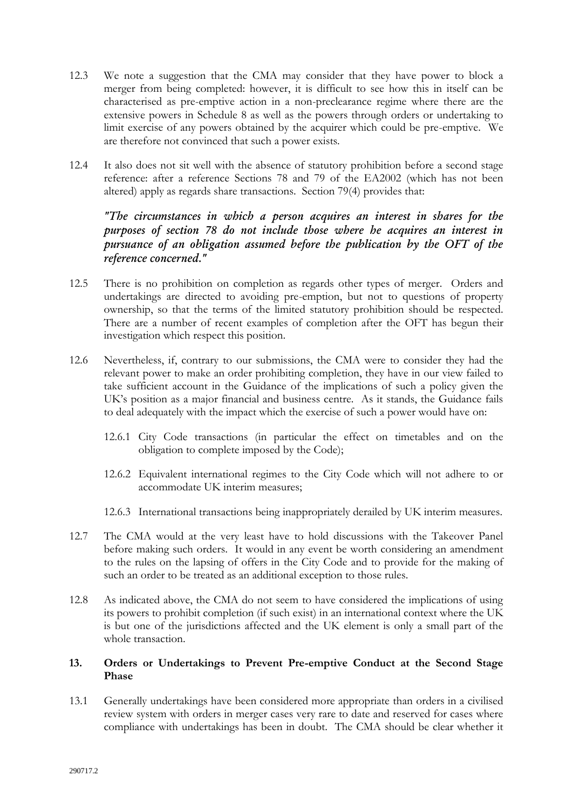- 12.3 We note a suggestion that the CMA may consider that they have power to block a merger from being completed: however, it is difficult to see how this in itself can be characterised as pre-emptive action in a non-preclearance regime where there are the extensive powers in Schedule 8 as well as the powers through orders or undertaking to limit exercise of any powers obtained by the acquirer which could be pre-emptive. We are therefore not convinced that such a power exists.
- 12.4 It also does not sit well with the absence of statutory prohibition before a second stage reference: after a reference Sections 78 and 79 of the EA2002 (which has not been altered) apply as regards share transactions. Section 79(4) provides that:

*"The circumstances in which a person acquires an interest in shares for the purposes of section 78 do not include those where he acquires an interest in pursuance of an obligation assumed before the publication by the OFT of the reference concerned."*

- 12.5 There is no prohibition on completion as regards other types of merger. Orders and undertakings are directed to avoiding pre-emption, but not to questions of property ownership, so that the terms of the limited statutory prohibition should be respected. There are a number of recent examples of completion after the OFT has begun their investigation which respect this position.
- 12.6 Nevertheless, if, contrary to our submissions, the CMA were to consider they had the relevant power to make an order prohibiting completion, they have in our view failed to take sufficient account in the Guidance of the implications of such a policy given the UK's position as a major financial and business centre. As it stands, the Guidance fails to deal adequately with the impact which the exercise of such a power would have on:
	- 12.6.1 City Code transactions (in particular the effect on timetables and on the obligation to complete imposed by the Code);
	- 12.6.2 Equivalent international regimes to the City Code which will not adhere to or accommodate UK interim measures;
	- 12.6.3 International transactions being inappropriately derailed by UK interim measures.
- 12.7 The CMA would at the very least have to hold discussions with the Takeover Panel before making such orders. It would in any event be worth considering an amendment to the rules on the lapsing of offers in the City Code and to provide for the making of such an order to be treated as an additional exception to those rules.
- 12.8 As indicated above, the CMA do not seem to have considered the implications of using its powers to prohibit completion (if such exist) in an international context where the UK is but one of the jurisdictions affected and the UK element is only a small part of the whole transaction.

# **13. Orders or Undertakings to Prevent Pre-emptive Conduct at the Second Stage Phase**

13.1 Generally undertakings have been considered more appropriate than orders in a civilised review system with orders in merger cases very rare to date and reserved for cases where compliance with undertakings has been in doubt. The CMA should be clear whether it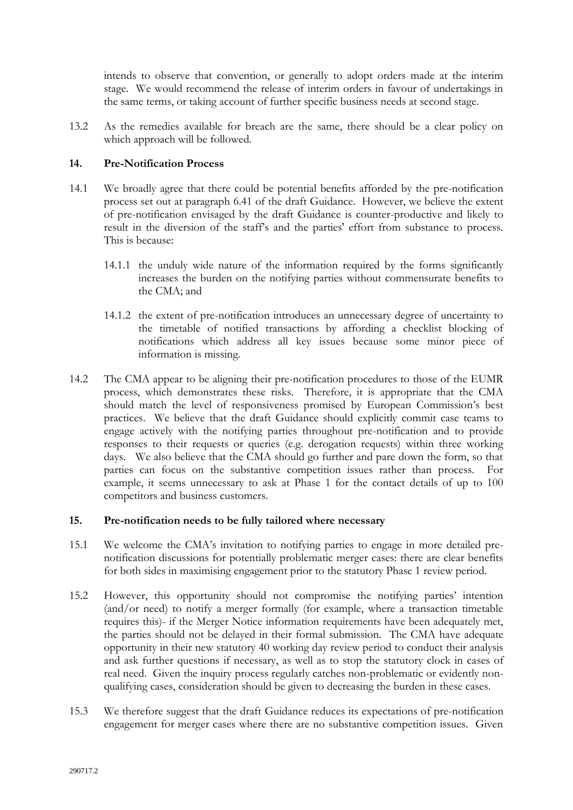intends to observe that convention, or generally to adopt orders made at the interim stage. We would recommend the release of interim orders in favour of undertakings in the same terms, or taking account of further specific business needs at second stage.

13.2 As the remedies available for breach are the same, there should be a clear policy on which approach will be followed.

# **14. Pre-Notification Process**

- 14.1 We broadly agree that there could be potential benefits afforded by the pre-notification process set out at paragraph 6.41 of the draft Guidance. However, we believe the extent of pre-notification envisaged by the draft Guidance is counter-productive and likely to result in the diversion of the staff's and the parties' effort from substance to process. This is because:
	- 14.1.1 the unduly wide nature of the information required by the forms significantly increases the burden on the notifying parties without commensurate benefits to the CMA; and
	- 14.1.2 the extent of pre-notification introduces an unnecessary degree of uncertainty to the timetable of notified transactions by affording a checklist blocking of notifications which address all key issues because some minor piece of information is missing.
- 14.2 The CMA appear to be aligning their pre-notification procedures to those of the EUMR process, which demonstrates these risks. Therefore, it is appropriate that the CMA should match the level of responsiveness promised by European Commission's best practices. We believe that the draft Guidance should explicitly commit case teams to engage actively with the notifying parties throughout pre-notification and to provide responses to their requests or queries (e.g. derogation requests) within three working days. We also believe that the CMA should go further and pare down the form, so that parties can focus on the substantive competition issues rather than process. For example, it seems unnecessary to ask at Phase 1 for the contact details of up to 100 competitors and business customers.

# **15. Pre-notification needs to be fully tailored where necessary**

- 15.1 We welcome the CMA's invitation to notifying parties to engage in more detailed prenotification discussions for potentially problematic merger cases: there are clear benefits for both sides in maximising engagement prior to the statutory Phase 1 review period.
- 15.2 However, this opportunity should not compromise the notifying parties' intention (and/or need) to notify a merger formally (for example, where a transaction timetable requires this)- if the Merger Notice information requirements have been adequately met, the parties should not be delayed in their formal submission. The CMA have adequate opportunity in their new statutory 40 working day review period to conduct their analysis and ask further questions if necessary, as well as to stop the statutory clock in cases of real need. Given the inquiry process regularly catches non-problematic or evidently nonqualifying cases, consideration should be given to decreasing the burden in these cases.
- 15.3 We therefore suggest that the draft Guidance reduces its expectations of pre-notification engagement for merger cases where there are no substantive competition issues. Given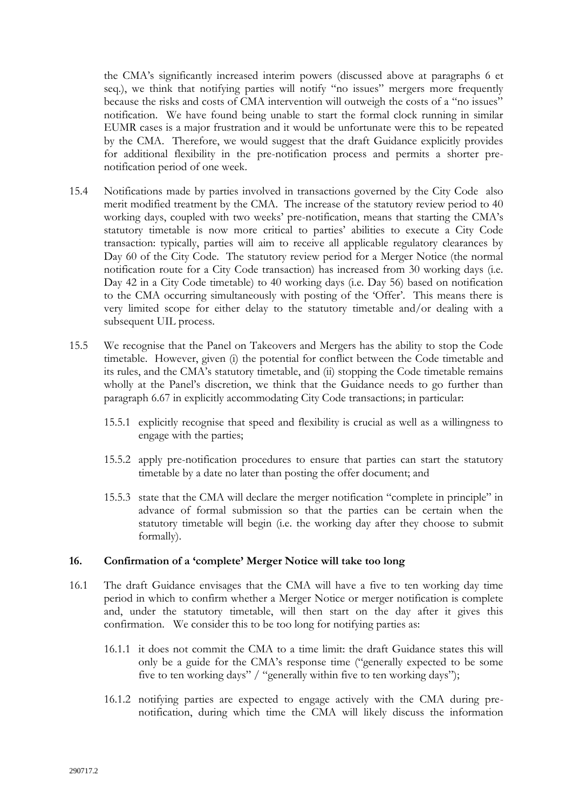the CMA's significantly increased interim powers (discussed above at paragraphs 6 et seq.), we think that notifying parties will notify "no issues" mergers more frequently because the risks and costs of CMA intervention will outweigh the costs of a "no issues" notification. We have found being unable to start the formal clock running in similar EUMR cases is a major frustration and it would be unfortunate were this to be repeated by the CMA. Therefore, we would suggest that the draft Guidance explicitly provides for additional flexibility in the pre-notification process and permits a shorter prenotification period of one week.

- 15.4 Notifications made by parties involved in transactions governed by the City Code also merit modified treatment by the CMA. The increase of the statutory review period to 40 working days, coupled with two weeks' pre-notification, means that starting the CMA's statutory timetable is now more critical to parties' abilities to execute a City Code transaction: typically, parties will aim to receive all applicable regulatory clearances by Day 60 of the City Code. The statutory review period for a Merger Notice (the normal notification route for a City Code transaction) has increased from 30 working days (i.e. Day 42 in a City Code timetable) to 40 working days (i.e. Day 56) based on notification to the CMA occurring simultaneously with posting of the 'Offer'. This means there is very limited scope for either delay to the statutory timetable and/or dealing with a subsequent UIL process.
- 15.5 We recognise that the Panel on Takeovers and Mergers has the ability to stop the Code timetable. However, given (i) the potential for conflict between the Code timetable and its rules, and the CMA's statutory timetable, and (ii) stopping the Code timetable remains wholly at the Panel's discretion, we think that the Guidance needs to go further than paragraph 6.67 in explicitly accommodating City Code transactions; in particular:
	- 15.5.1 explicitly recognise that speed and flexibility is crucial as well as a willingness to engage with the parties;
	- 15.5.2 apply pre-notification procedures to ensure that parties can start the statutory timetable by a date no later than posting the offer document; and
	- 15.5.3 state that the CMA will declare the merger notification "complete in principle" in advance of formal submission so that the parties can be certain when the statutory timetable will begin (i.e. the working day after they choose to submit formally).

# **16. Confirmation of a 'complete' Merger Notice will take too long**

- 16.1 The draft Guidance envisages that the CMA will have a five to ten working day time period in which to confirm whether a Merger Notice or merger notification is complete and, under the statutory timetable, will then start on the day after it gives this confirmation. We consider this to be too long for notifying parties as:
	- 16.1.1 it does not commit the CMA to a time limit: the draft Guidance states this will only be a guide for the CMA's response time ("generally expected to be some five to ten working days" / "generally within five to ten working days");
	- 16.1.2 notifying parties are expected to engage actively with the CMA during prenotification, during which time the CMA will likely discuss the information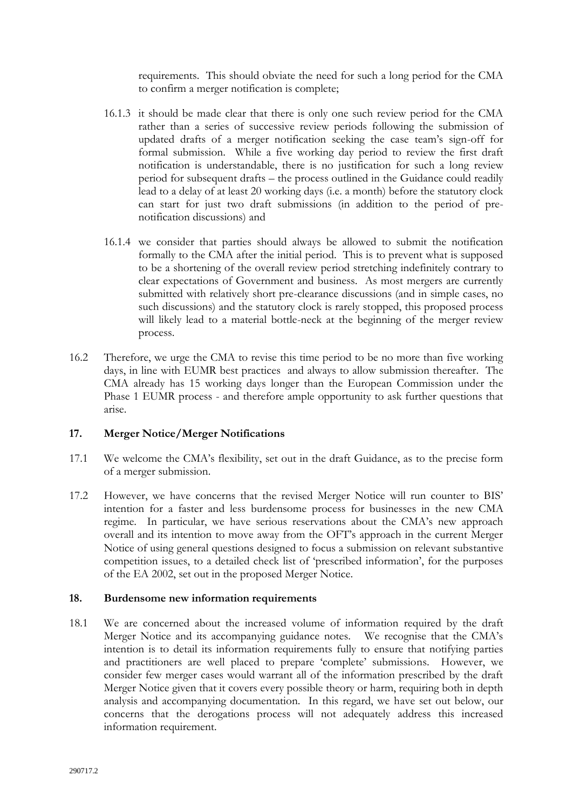requirements. This should obviate the need for such a long period for the CMA to confirm a merger notification is complete;

- 16.1.3 it should be made clear that there is only one such review period for the CMA rather than a series of successive review periods following the submission of updated drafts of a merger notification seeking the case team's sign-off for formal submission. While a five working day period to review the first draft notification is understandable, there is no justification for such a long review period for subsequent drafts – the process outlined in the Guidance could readily lead to a delay of at least 20 working days (i.e. a month) before the statutory clock can start for just two draft submissions (in addition to the period of prenotification discussions) and
- 16.1.4 we consider that parties should always be allowed to submit the notification formally to the CMA after the initial period. This is to prevent what is supposed to be a shortening of the overall review period stretching indefinitely contrary to clear expectations of Government and business. As most mergers are currently submitted with relatively short pre-clearance discussions (and in simple cases, no such discussions) and the statutory clock is rarely stopped, this proposed process will likely lead to a material bottle-neck at the beginning of the merger review process.
- 16.2 Therefore, we urge the CMA to revise this time period to be no more than five working days, in line with EUMR best practices and always to allow submission thereafter. The CMA already has 15 working days longer than the European Commission under the Phase 1 EUMR process - and therefore ample opportunity to ask further questions that arise.

# **17. Merger Notice/Merger Notifications**

- 17.1 We welcome the CMA's flexibility, set out in the draft Guidance, as to the precise form of a merger submission.
- 17.2 However, we have concerns that the revised Merger Notice will run counter to BIS' intention for a faster and less burdensome process for businesses in the new CMA regime. In particular, we have serious reservations about the CMA's new approach overall and its intention to move away from the OFT's approach in the current Merger Notice of using general questions designed to focus a submission on relevant substantive competition issues, to a detailed check list of 'prescribed information', for the purposes of the EA 2002, set out in the proposed Merger Notice.

# **18. Burdensome new information requirements**

18.1 We are concerned about the increased volume of information required by the draft Merger Notice and its accompanying guidance notes. We recognise that the CMA's intention is to detail its information requirements fully to ensure that notifying parties and practitioners are well placed to prepare 'complete' submissions. However, we consider few merger cases would warrant all of the information prescribed by the draft Merger Notice given that it covers every possible theory or harm, requiring both in depth analysis and accompanying documentation. In this regard, we have set out below, our concerns that the derogations process will not adequately address this increased information requirement.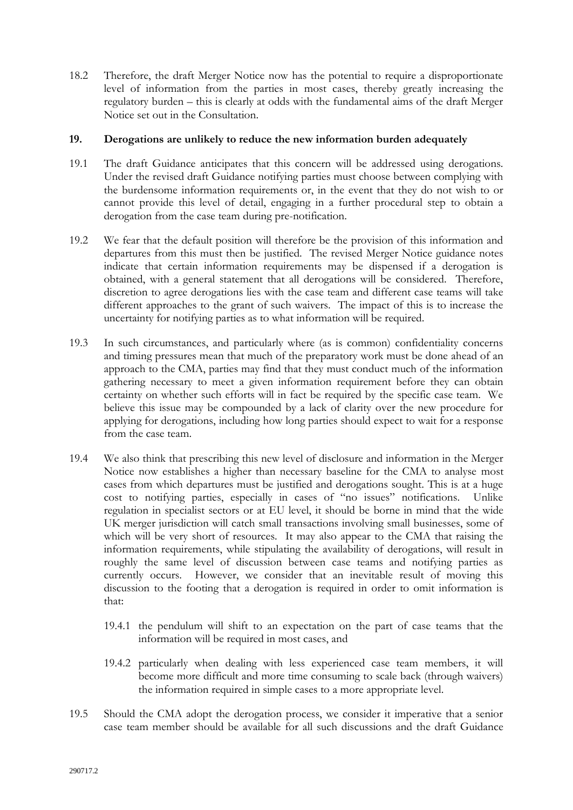18.2 Therefore, the draft Merger Notice now has the potential to require a disproportionate level of information from the parties in most cases, thereby greatly increasing the regulatory burden – this is clearly at odds with the fundamental aims of the draft Merger Notice set out in the Consultation.

### **19. Derogations are unlikely to reduce the new information burden adequately**

- 19.1 The draft Guidance anticipates that this concern will be addressed using derogations. Under the revised draft Guidance notifying parties must choose between complying with the burdensome information requirements or, in the event that they do not wish to or cannot provide this level of detail, engaging in a further procedural step to obtain a derogation from the case team during pre-notification.
- 19.2 We fear that the default position will therefore be the provision of this information and departures from this must then be justified. The revised Merger Notice guidance notes indicate that certain information requirements may be dispensed if a derogation is obtained, with a general statement that all derogations will be considered. Therefore, discretion to agree derogations lies with the case team and different case teams will take different approaches to the grant of such waivers. The impact of this is to increase the uncertainty for notifying parties as to what information will be required.
- 19.3 In such circumstances, and particularly where (as is common) confidentiality concerns and timing pressures mean that much of the preparatory work must be done ahead of an approach to the CMA, parties may find that they must conduct much of the information gathering necessary to meet a given information requirement before they can obtain certainty on whether such efforts will in fact be required by the specific case team. We believe this issue may be compounded by a lack of clarity over the new procedure for applying for derogations, including how long parties should expect to wait for a response from the case team.
- 19.4 We also think that prescribing this new level of disclosure and information in the Merger Notice now establishes a higher than necessary baseline for the CMA to analyse most cases from which departures must be justified and derogations sought. This is at a huge cost to notifying parties, especially in cases of "no issues" notifications. Unlike regulation in specialist sectors or at EU level, it should be borne in mind that the wide UK merger jurisdiction will catch small transactions involving small businesses, some of which will be very short of resources. It may also appear to the CMA that raising the information requirements, while stipulating the availability of derogations, will result in roughly the same level of discussion between case teams and notifying parties as currently occurs. However, we consider that an inevitable result of moving this discussion to the footing that a derogation is required in order to omit information is that:
	- 19.4.1 the pendulum will shift to an expectation on the part of case teams that the information will be required in most cases, and
	- 19.4.2 particularly when dealing with less experienced case team members, it will become more difficult and more time consuming to scale back (through waivers) the information required in simple cases to a more appropriate level.
- 19.5 Should the CMA adopt the derogation process, we consider it imperative that a senior case team member should be available for all such discussions and the draft Guidance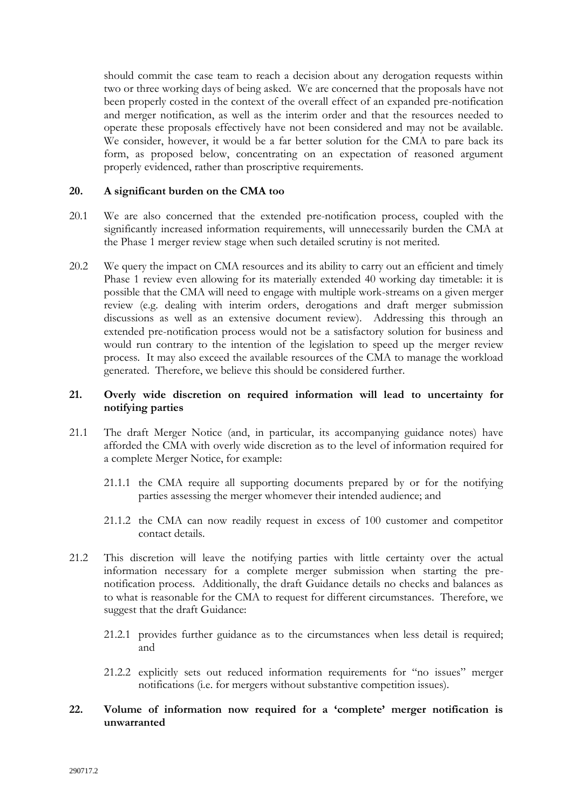should commit the case team to reach a decision about any derogation requests within two or three working days of being asked. We are concerned that the proposals have not been properly costed in the context of the overall effect of an expanded pre-notification and merger notification, as well as the interim order and that the resources needed to operate these proposals effectively have not been considered and may not be available. We consider, however, it would be a far better solution for the CMA to pare back its form, as proposed below, concentrating on an expectation of reasoned argument properly evidenced, rather than proscriptive requirements.

### **20. A significant burden on the CMA too**

- 20.1 We are also concerned that the extended pre-notification process, coupled with the significantly increased information requirements, will unnecessarily burden the CMA at the Phase 1 merger review stage when such detailed scrutiny is not merited.
- 20.2 We query the impact on CMA resources and its ability to carry out an efficient and timely Phase 1 review even allowing for its materially extended 40 working day timetable: it is possible that the CMA will need to engage with multiple work-streams on a given merger review (e.g. dealing with interim orders, derogations and draft merger submission discussions as well as an extensive document review). Addressing this through an extended pre-notification process would not be a satisfactory solution for business and would run contrary to the intention of the legislation to speed up the merger review process. It may also exceed the available resources of the CMA to manage the workload generated. Therefore, we believe this should be considered further.

# **21. Overly wide discretion on required information will lead to uncertainty for notifying parties**

- 21.1 The draft Merger Notice (and, in particular, its accompanying guidance notes) have afforded the CMA with overly wide discretion as to the level of information required for a complete Merger Notice, for example:
	- 21.1.1 the CMA require all supporting documents prepared by or for the notifying parties assessing the merger whomever their intended audience; and
	- 21.1.2 the CMA can now readily request in excess of 100 customer and competitor contact details.
- 21.2 This discretion will leave the notifying parties with little certainty over the actual information necessary for a complete merger submission when starting the prenotification process. Additionally, the draft Guidance details no checks and balances as to what is reasonable for the CMA to request for different circumstances. Therefore, we suggest that the draft Guidance:
	- 21.2.1 provides further guidance as to the circumstances when less detail is required; and
	- 21.2.2 explicitly sets out reduced information requirements for "no issues" merger notifications (i.e. for mergers without substantive competition issues).
- **22. Volume of information now required for a 'complete' merger notification is unwarranted**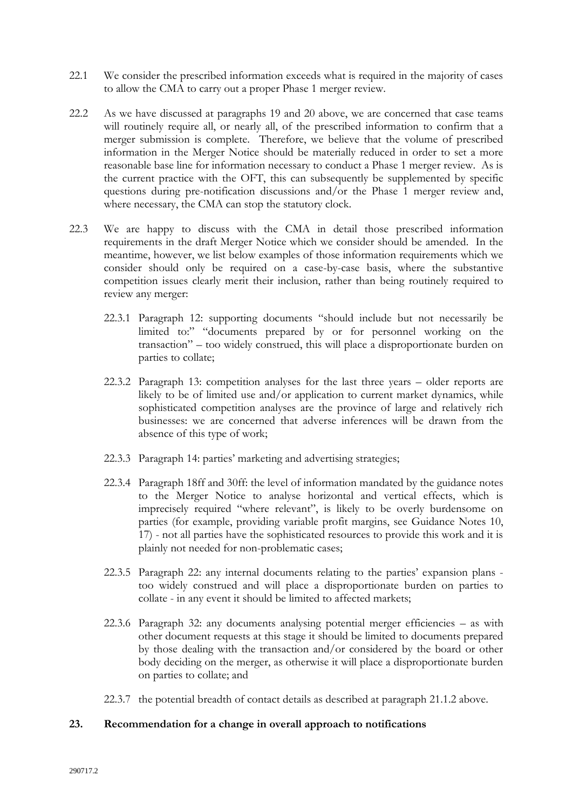- 22.1 We consider the prescribed information exceeds what is required in the majority of cases to allow the CMA to carry out a proper Phase 1 merger review.
- 22.2 As we have discussed at paragraphs 19 and 20 above, we are concerned that case teams will routinely require all, or nearly all, of the prescribed information to confirm that a merger submission is complete. Therefore, we believe that the volume of prescribed information in the Merger Notice should be materially reduced in order to set a more reasonable base line for information necessary to conduct a Phase 1 merger review. As is the current practice with the OFT, this can subsequently be supplemented by specific questions during pre-notification discussions and/or the Phase 1 merger review and, where necessary, the CMA can stop the statutory clock.
- 22.3 We are happy to discuss with the CMA in detail those prescribed information requirements in the draft Merger Notice which we consider should be amended. In the meantime, however, we list below examples of those information requirements which we consider should only be required on a case-by-case basis, where the substantive competition issues clearly merit their inclusion, rather than being routinely required to review any merger:
	- 22.3.1 Paragraph 12: supporting documents "should include but not necessarily be limited to:" "documents prepared by or for personnel working on the transaction" – too widely construed, this will place a disproportionate burden on parties to collate;
	- 22.3.2 Paragraph 13: competition analyses for the last three years older reports are likely to be of limited use and/or application to current market dynamics, while sophisticated competition analyses are the province of large and relatively rich businesses: we are concerned that adverse inferences will be drawn from the absence of this type of work;
	- 22.3.3 Paragraph 14: parties' marketing and advertising strategies;
	- 22.3.4 Paragraph 18ff and 30ff: the level of information mandated by the guidance notes to the Merger Notice to analyse horizontal and vertical effects, which is imprecisely required "where relevant", is likely to be overly burdensome on parties (for example, providing variable profit margins, see Guidance Notes 10, 17) - not all parties have the sophisticated resources to provide this work and it is plainly not needed for non-problematic cases;
	- 22.3.5 Paragraph 22: any internal documents relating to the parties' expansion plans too widely construed and will place a disproportionate burden on parties to collate - in any event it should be limited to affected markets;
	- 22.3.6 Paragraph 32: any documents analysing potential merger efficiencies as with other document requests at this stage it should be limited to documents prepared by those dealing with the transaction and/or considered by the board or other body deciding on the merger, as otherwise it will place a disproportionate burden on parties to collate; and
	- 22.3.7 the potential breadth of contact details as described at paragraph 21.1.2 above.

# **23. Recommendation for a change in overall approach to notifications**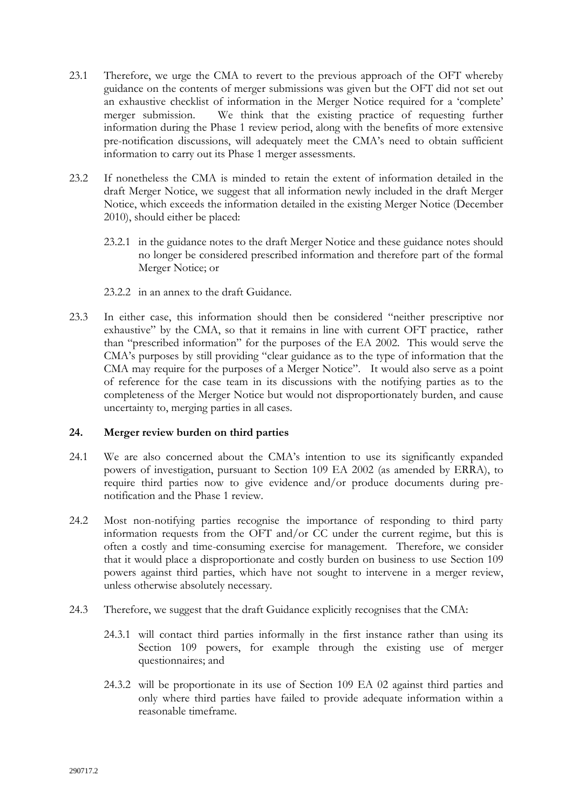- 23.1 Therefore, we urge the CMA to revert to the previous approach of the OFT whereby guidance on the contents of merger submissions was given but the OFT did not set out an exhaustive checklist of information in the Merger Notice required for a 'complete' merger submission. We think that the existing practice of requesting further information during the Phase 1 review period, along with the benefits of more extensive pre-notification discussions, will adequately meet the CMA's need to obtain sufficient information to carry out its Phase 1 merger assessments.
- 23.2 If nonetheless the CMA is minded to retain the extent of information detailed in the draft Merger Notice, we suggest that all information newly included in the draft Merger Notice, which exceeds the information detailed in the existing Merger Notice (December 2010), should either be placed:
	- 23.2.1 in the guidance notes to the draft Merger Notice and these guidance notes should no longer be considered prescribed information and therefore part of the formal Merger Notice; or
	- 23.2.2 in an annex to the draft Guidance.
- 23.3 In either case, this information should then be considered "neither prescriptive nor exhaustive" by the CMA, so that it remains in line with current OFT practice, rather than "prescribed information" for the purposes of the EA 2002. This would serve the CMA's purposes by still providing "clear guidance as to the type of information that the CMA may require for the purposes of a Merger Notice". It would also serve as a point of reference for the case team in its discussions with the notifying parties as to the completeness of the Merger Notice but would not disproportionately burden, and cause uncertainty to, merging parties in all cases.

# **24. Merger review burden on third parties**

- 24.1 We are also concerned about the CMA's intention to use its significantly expanded powers of investigation, pursuant to Section 109 EA 2002 (as amended by ERRA), to require third parties now to give evidence and/or produce documents during prenotification and the Phase 1 review.
- 24.2 Most non-notifying parties recognise the importance of responding to third party information requests from the OFT and/or CC under the current regime, but this is often a costly and time-consuming exercise for management. Therefore, we consider that it would place a disproportionate and costly burden on business to use Section 109 powers against third parties, which have not sought to intervene in a merger review, unless otherwise absolutely necessary.
- 24.3 Therefore, we suggest that the draft Guidance explicitly recognises that the CMA:
	- 24.3.1 will contact third parties informally in the first instance rather than using its Section 109 powers, for example through the existing use of merger questionnaires; and
	- 24.3.2 will be proportionate in its use of Section 109 EA 02 against third parties and only where third parties have failed to provide adequate information within a reasonable timeframe.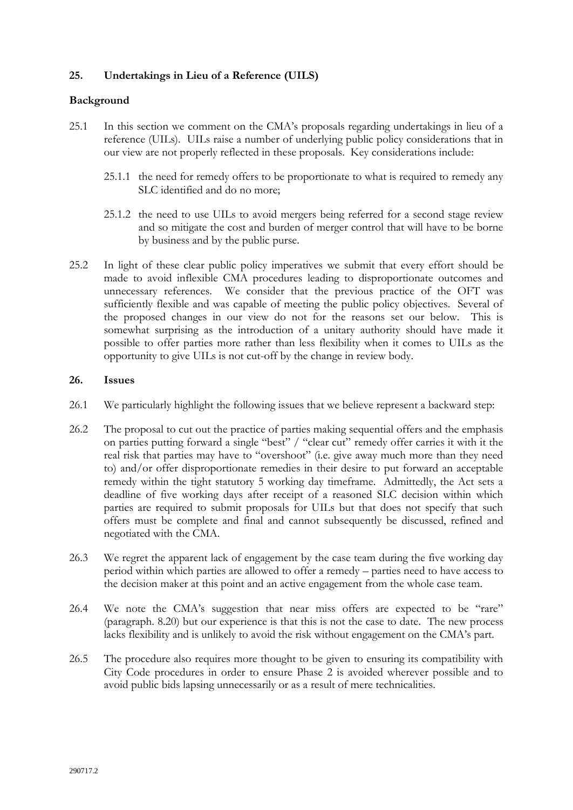# **25. Undertakings in Lieu of a Reference (UILS)**

# **Background**

- 25.1 In this section we comment on the CMA's proposals regarding undertakings in lieu of a reference (UILs). UILs raise a number of underlying public policy considerations that in our view are not properly reflected in these proposals. Key considerations include:
	- 25.1.1 the need for remedy offers to be proportionate to what is required to remedy any SLC identified and do no more;
	- 25.1.2 the need to use UILs to avoid mergers being referred for a second stage review and so mitigate the cost and burden of merger control that will have to be borne by business and by the public purse.
- 25.2 In light of these clear public policy imperatives we submit that every effort should be made to avoid inflexible CMA procedures leading to disproportionate outcomes and unnecessary references. We consider that the previous practice of the OFT was sufficiently flexible and was capable of meeting the public policy objectives. Several of the proposed changes in our view do not for the reasons set our below. This is somewhat surprising as the introduction of a unitary authority should have made it possible to offer parties more rather than less flexibility when it comes to UILs as the opportunity to give UILs is not cut-off by the change in review body.

### **26. Issues**

- 26.1 We particularly highlight the following issues that we believe represent a backward step:
- 26.2 The proposal to cut out the practice of parties making sequential offers and the emphasis on parties putting forward a single "best" / "clear cut" remedy offer carries it with it the real risk that parties may have to "overshoot" (i.e. give away much more than they need to) and/or offer disproportionate remedies in their desire to put forward an acceptable remedy within the tight statutory 5 working day timeframe. Admittedly, the Act sets a deadline of five working days after receipt of a reasoned SLC decision within which parties are required to submit proposals for UILs but that does not specify that such offers must be complete and final and cannot subsequently be discussed, refined and negotiated with the CMA.
- 26.3 We regret the apparent lack of engagement by the case team during the five working day period within which parties are allowed to offer a remedy – parties need to have access to the decision maker at this point and an active engagement from the whole case team.
- 26.4 We note the CMA's suggestion that near miss offers are expected to be "rare" (paragraph. 8.20) but our experience is that this is not the case to date. The new process lacks flexibility and is unlikely to avoid the risk without engagement on the CMA's part.
- 26.5 The procedure also requires more thought to be given to ensuring its compatibility with City Code procedures in order to ensure Phase 2 is avoided wherever possible and to avoid public bids lapsing unnecessarily or as a result of mere technicalities.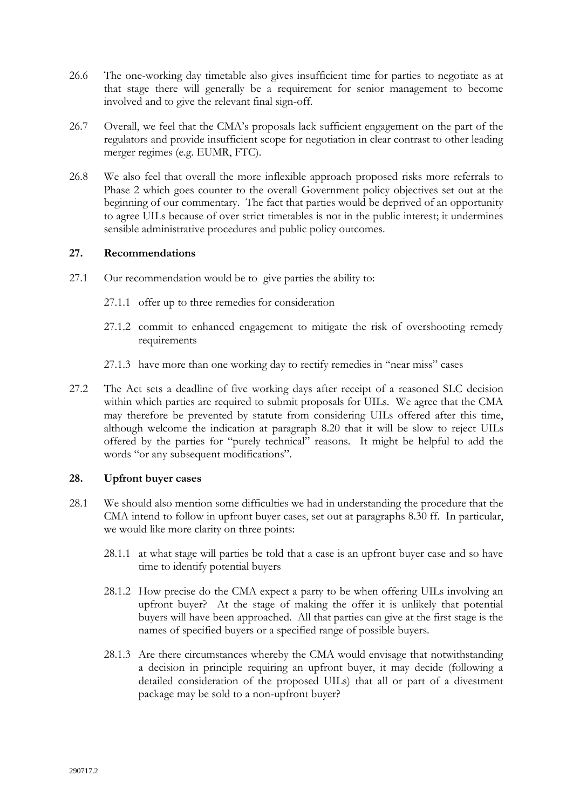- 26.6 The one-working day timetable also gives insufficient time for parties to negotiate as at that stage there will generally be a requirement for senior management to become involved and to give the relevant final sign-off.
- 26.7 Overall, we feel that the CMA's proposals lack sufficient engagement on the part of the regulators and provide insufficient scope for negotiation in clear contrast to other leading merger regimes (e.g. EUMR, FTC).
- 26.8 We also feel that overall the more inflexible approach proposed risks more referrals to Phase 2 which goes counter to the overall Government policy objectives set out at the beginning of our commentary. The fact that parties would be deprived of an opportunity to agree UILs because of over strict timetables is not in the public interest; it undermines sensible administrative procedures and public policy outcomes.

# **27. Recommendations**

- 27.1 Our recommendation would be to give parties the ability to:
	- 27.1.1 offer up to three remedies for consideration
	- 27.1.2 commit to enhanced engagement to mitigate the risk of overshooting remedy requirements
	- 27.1.3 have more than one working day to rectify remedies in "near miss" cases
- 27.2 The Act sets a deadline of five working days after receipt of a reasoned SLC decision within which parties are required to submit proposals for UILs. We agree that the CMA may therefore be prevented by statute from considering UILs offered after this time, although welcome the indication at paragraph 8.20 that it will be slow to reject UILs offered by the parties for "purely technical" reasons. It might be helpful to add the words "or any subsequent modifications".

#### **28. Upfront buyer cases**

- 28.1 We should also mention some difficulties we had in understanding the procedure that the CMA intend to follow in upfront buyer cases, set out at paragraphs 8.30 ff. In particular, we would like more clarity on three points:
	- 28.1.1 at what stage will parties be told that a case is an upfront buyer case and so have time to identify potential buyers
	- 28.1.2 How precise do the CMA expect a party to be when offering UILs involving an upfront buyer? At the stage of making the offer it is unlikely that potential buyers will have been approached. All that parties can give at the first stage is the names of specified buyers or a specified range of possible buyers.
	- 28.1.3 Are there circumstances whereby the CMA would envisage that notwithstanding a decision in principle requiring an upfront buyer, it may decide (following a detailed consideration of the proposed UILs) that all or part of a divestment package may be sold to a non-upfront buyer?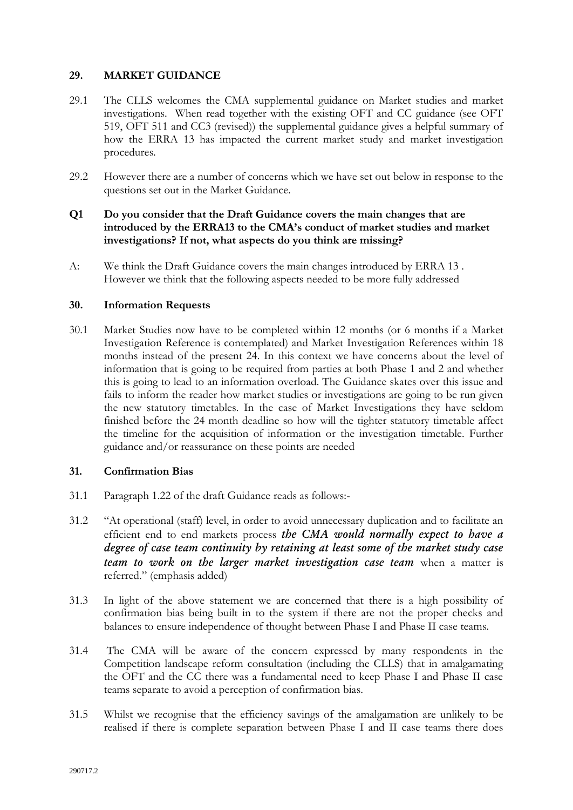# **29. MARKET GUIDANCE**

- 29.1 The CLLS welcomes the CMA supplemental guidance on Market studies and market investigations. When read together with the existing OFT and CC guidance (see OFT 519, OFT 511 and CC3 (revised)) the supplemental guidance gives a helpful summary of how the ERRA 13 has impacted the current market study and market investigation procedures.
- 29.2 However there are a number of concerns which we have set out below in response to the questions set out in the Market Guidance.

# **Q1 Do you consider that the Draft Guidance covers the main changes that are introduced by the ERRA13 to the CMA's conduct of market studies and market investigations? If not, what aspects do you think are missing?**

A: We think the Draft Guidance covers the main changes introduced by ERRA 13 . However we think that the following aspects needed to be more fully addressed

### **30. Information Requests**

30.1 Market Studies now have to be completed within 12 months (or 6 months if a Market Investigation Reference is contemplated) and Market Investigation References within 18 months instead of the present 24. In this context we have concerns about the level of information that is going to be required from parties at both Phase 1 and 2 and whether this is going to lead to an information overload. The Guidance skates over this issue and fails to inform the reader how market studies or investigations are going to be run given the new statutory timetables. In the case of Market Investigations they have seldom finished before the 24 month deadline so how will the tighter statutory timetable affect the timeline for the acquisition of information or the investigation timetable. Further guidance and/or reassurance on these points are needed

# **31. Confirmation Bias**

- 31.1 Paragraph 1.22 of the draft Guidance reads as follows:-
- 31.2 "At operational (staff) level, in order to avoid unnecessary duplication and to facilitate an efficient end to end markets process *the CMA would normally expect to have a degree of case team continuity by retaining at least some of the market study case team to work on the larger market investigation case team* when a matter is referred." (emphasis added)
- 31.3 In light of the above statement we are concerned that there is a high possibility of confirmation bias being built in to the system if there are not the proper checks and balances to ensure independence of thought between Phase I and Phase II case teams.
- 31.4 The CMA will be aware of the concern expressed by many respondents in the Competition landscape reform consultation (including the CLLS) that in amalgamating the OFT and the CC there was a fundamental need to keep Phase I and Phase II case teams separate to avoid a perception of confirmation bias.
- 31.5 Whilst we recognise that the efficiency savings of the amalgamation are unlikely to be realised if there is complete separation between Phase I and II case teams there does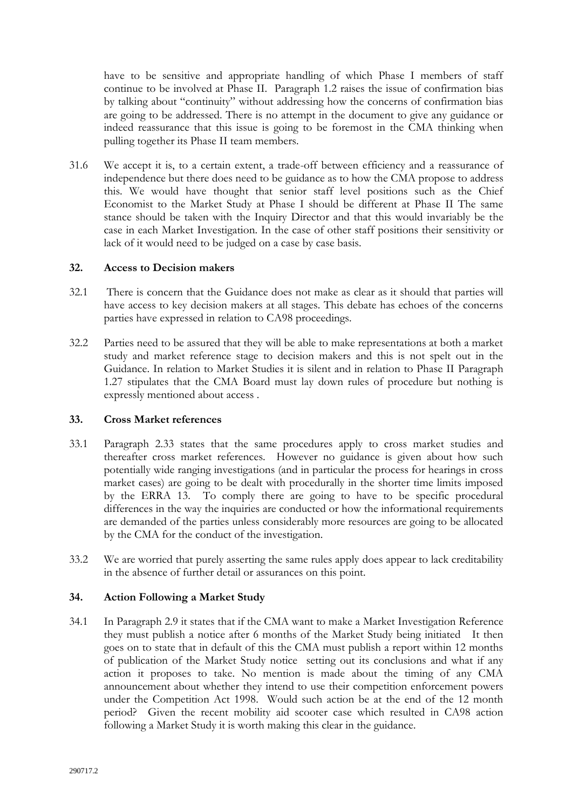have to be sensitive and appropriate handling of which Phase I members of staff continue to be involved at Phase II. Paragraph 1.2 raises the issue of confirmation bias by talking about "continuity" without addressing how the concerns of confirmation bias are going to be addressed. There is no attempt in the document to give any guidance or indeed reassurance that this issue is going to be foremost in the CMA thinking when pulling together its Phase II team members.

31.6 We accept it is, to a certain extent, a trade-off between efficiency and a reassurance of independence but there does need to be guidance as to how the CMA propose to address this. We would have thought that senior staff level positions such as the Chief Economist to the Market Study at Phase I should be different at Phase II The same stance should be taken with the Inquiry Director and that this would invariably be the case in each Market Investigation. In the case of other staff positions their sensitivity or lack of it would need to be judged on a case by case basis.

### **32. Access to Decision makers**

- 32.1 There is concern that the Guidance does not make as clear as it should that parties will have access to key decision makers at all stages. This debate has echoes of the concerns parties have expressed in relation to CA98 proceedings.
- 32.2 Parties need to be assured that they will be able to make representations at both a market study and market reference stage to decision makers and this is not spelt out in the Guidance. In relation to Market Studies it is silent and in relation to Phase II Paragraph 1.27 stipulates that the CMA Board must lay down rules of procedure but nothing is expressly mentioned about access .

# **33. Cross Market references**

- 33.1 Paragraph 2.33 states that the same procedures apply to cross market studies and thereafter cross market references. However no guidance is given about how such potentially wide ranging investigations (and in particular the process for hearings in cross market cases) are going to be dealt with procedurally in the shorter time limits imposed by the ERRA 13. To comply there are going to have to be specific procedural differences in the way the inquiries are conducted or how the informational requirements are demanded of the parties unless considerably more resources are going to be allocated by the CMA for the conduct of the investigation.
- 33.2 We are worried that purely asserting the same rules apply does appear to lack creditability in the absence of further detail or assurances on this point.

# **34. Action Following a Market Study**

34.1 In Paragraph 2.9 it states that if the CMA want to make a Market Investigation Reference they must publish a notice after 6 months of the Market Study being initiated It then goes on to state that in default of this the CMA must publish a report within 12 months of publication of the Market Study notice setting out its conclusions and what if any action it proposes to take. No mention is made about the timing of any CMA announcement about whether they intend to use their competition enforcement powers under the Competition Act 1998. Would such action be at the end of the 12 month period? Given the recent mobility aid scooter case which resulted in CA98 action following a Market Study it is worth making this clear in the guidance.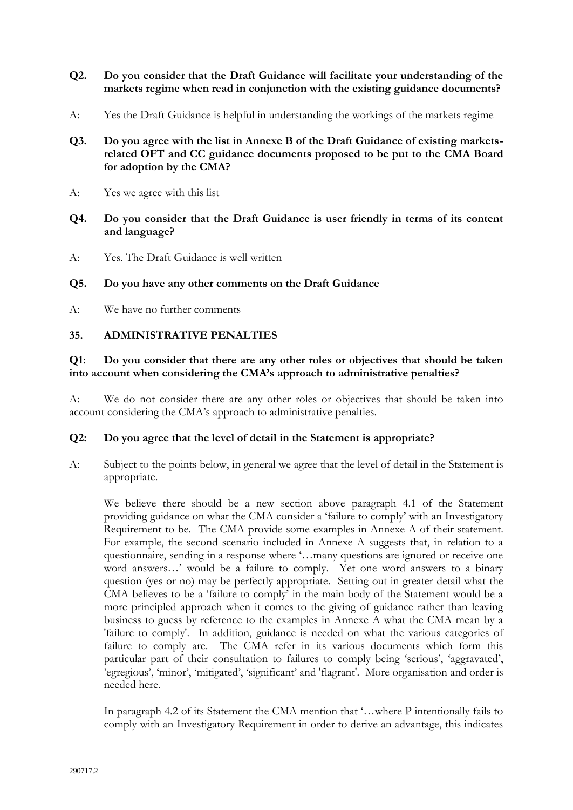- **Q2. Do you consider that the Draft Guidance will facilitate your understanding of the markets regime when read in conjunction with the existing guidance documents?**
- A: Yes the Draft Guidance is helpful in understanding the workings of the markets regime
- **Q3. Do you agree with the list in Annexe B of the Draft Guidance of existing marketsrelated OFT and CC guidance documents proposed to be put to the CMA Board for adoption by the CMA?**
- A: Yes we agree with this list
- **Q4. Do you consider that the Draft Guidance is user friendly in terms of its content and language?**
- A: Yes. The Draft Guidance is well written

### **Q5. Do you have any other comments on the Draft Guidance**

A: We have no further comments

### **35. ADMINISTRATIVE PENALTIES**

### **Q1: Do you consider that there are any other roles or objectives that should be taken into account when considering the CMA's approach to administrative penalties?**

A: We do not consider there are any other roles or objectives that should be taken into account considering the CMA's approach to administrative penalties.

#### **Q2: Do you agree that the level of detail in the Statement is appropriate?**

A: Subject to the points below, in general we agree that the level of detail in the Statement is appropriate.

We believe there should be a new section above paragraph 4.1 of the Statement providing guidance on what the CMA consider a 'failure to comply' with an Investigatory Requirement to be. The CMA provide some examples in Annexe A of their statement. For example, the second scenario included in Annexe A suggests that, in relation to a questionnaire, sending in a response where '…many questions are ignored or receive one word answers…' would be a failure to comply. Yet one word answers to a binary question (yes or no) may be perfectly appropriate. Setting out in greater detail what the CMA believes to be a 'failure to comply' in the main body of the Statement would be a more principled approach when it comes to the giving of guidance rather than leaving business to guess by reference to the examples in Annexe A what the CMA mean by a 'failure to comply'. In addition, guidance is needed on what the various categories of failure to comply are. The CMA refer in its various documents which form this particular part of their consultation to failures to comply being 'serious', 'aggravated', 'egregious', 'minor', 'mitigated', 'significant' and 'flagrant'. More organisation and order is needed here.

In paragraph 4.2 of its Statement the CMA mention that '...where P intentionally fails to comply with an Investigatory Requirement in order to derive an advantage, this indicates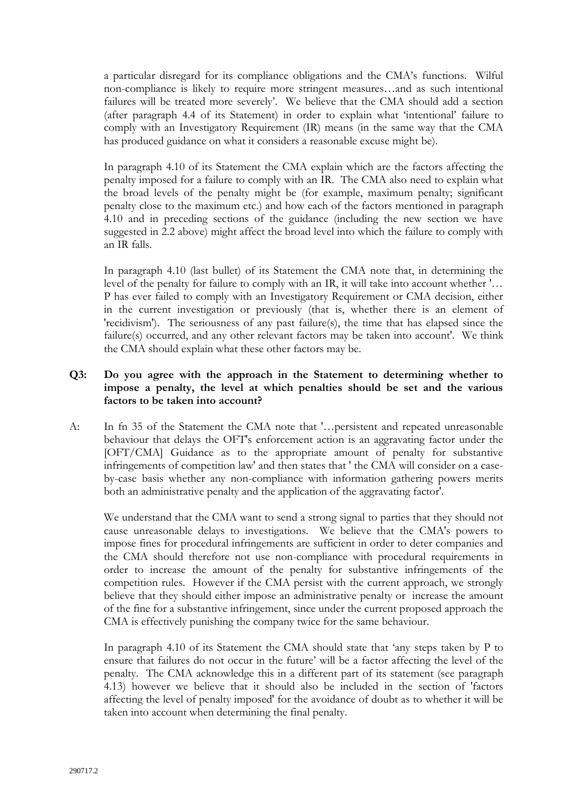a particular disregard for its compliance obligations and the CMA's functions. Wilful non-compliance is likely to require more stringent measures…and as such intentional failures will be treated more severely'. We believe that the CMA should add a section (after paragraph 4.4 of its Statement) in order to explain what 'intentional' failure to comply with an Investigatory Requirement (IR) means (in the same way that the CMA has produced guidance on what it considers a reasonable excuse might be).

In paragraph 4.10 of its Statement the CMA explain which are the factors affecting the penalty imposed for a failure to comply with an IR. The CMA also need to explain what the broad levels of the penalty might be (for example, maximum penalty; significant penalty close to the maximum etc.) and how each of the factors mentioned in paragraph 4.10 and in preceding sections of the guidance (including the new section we have suggested in 2.2 above) might affect the broad level into which the failure to comply with an IR falls.

In paragraph 4.10 (last bullet) of its Statement the CMA note that, in determining the level of the penalty for failure to comply with an IR, it will take into account whether '… P has ever failed to comply with an Investigatory Requirement or CMA decision, either in the current investigation or previously (that is, whether there is an element of 'recidivism'). The seriousness of any past failure(s), the time that has elapsed since the failure(s) occurred, and any other relevant factors may be taken into account'. We think the CMA should explain what these other factors may be.

# **Q3: Do you agree with the approach in the Statement to determining whether to impose a penalty, the level at which penalties should be set and the various factors to be taken into account?**

A: In fn 35 of the Statement the CMA note that '…persistent and repeated unreasonable behaviour that delays the OFT's enforcement action is an aggravating factor under the [OFT/CMA] Guidance as to the appropriate amount of penalty for substantive infringements of competition law' and then states that ' the CMA will consider on a caseby-case basis whether any non-compliance with information gathering powers merits both an administrative penalty and the application of the aggravating factor'.

We understand that the CMA want to send a strong signal to parties that they should not cause unreasonable delays to investigations. We believe that the CMA's powers to impose fines for procedural infringements are sufficient in order to deter companies and the CMA should therefore not use non-compliance with procedural requirements in order to increase the amount of the penalty for substantive infringements of the competition rules. However if the CMA persist with the current approach, we strongly believe that they should either impose an administrative penalty or increase the amount of the fine for a substantive infringement, since under the current proposed approach the CMA is effectively punishing the company twice for the same behaviour.

In paragraph 4.10 of its Statement the CMA should state that 'any steps taken by P to ensure that failures do not occur in the future' will be a factor affecting the level of the penalty. The CMA acknowledge this in a different part of its statement (see paragraph 4.13) however we believe that it should also be included in the section of 'factors affecting the level of penalty imposed' for the avoidance of doubt as to whether it will be taken into account when determining the final penalty.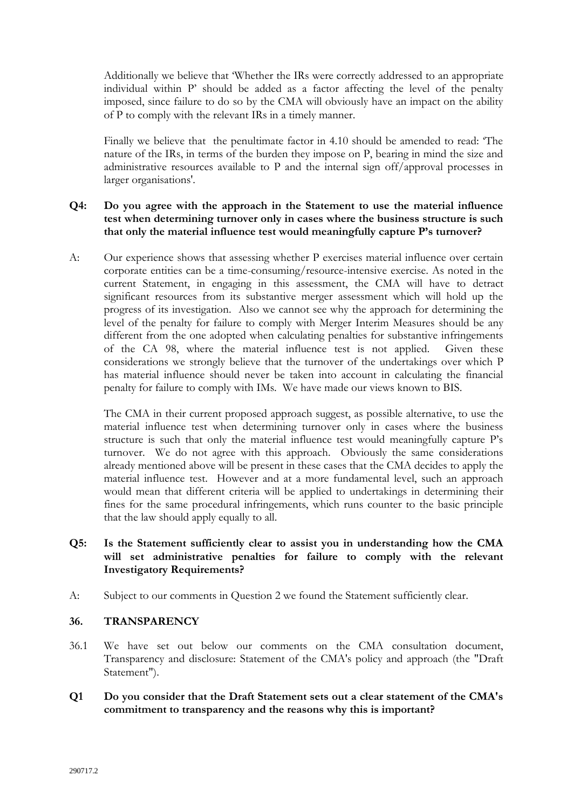Additionally we believe that 'Whether the IRs were correctly addressed to an appropriate individual within P' should be added as a factor affecting the level of the penalty imposed, since failure to do so by the CMA will obviously have an impact on the ability of P to comply with the relevant IRs in a timely manner.

Finally we believe that the penultimate factor in 4.10 should be amended to read: 'The nature of the IRs, in terms of the burden they impose on P, bearing in mind the size and administrative resources available to P and the internal sign off/approval processes in larger organisations'.

# **Q4: Do you agree with the approach in the Statement to use the material influence test when determining turnover only in cases where the business structure is such that only the material influence test would meaningfully capture P's turnover?**

A: Our experience shows that assessing whether P exercises material influence over certain corporate entities can be a time-consuming/resource-intensive exercise. As noted in the current Statement, in engaging in this assessment, the CMA will have to detract significant resources from its substantive merger assessment which will hold up the progress of its investigation. Also we cannot see why the approach for determining the level of the penalty for failure to comply with Merger Interim Measures should be any different from the one adopted when calculating penalties for substantive infringements of the CA 98, where the material influence test is not applied. Given these considerations we strongly believe that the turnover of the undertakings over which P has material influence should never be taken into account in calculating the financial penalty for failure to comply with IMs. We have made our views known to BIS.

The CMA in their current proposed approach suggest, as possible alternative, to use the material influence test when determining turnover only in cases where the business structure is such that only the material influence test would meaningfully capture P's turnover. We do not agree with this approach. Obviously the same considerations already mentioned above will be present in these cases that the CMA decides to apply the material influence test. However and at a more fundamental level, such an approach would mean that different criteria will be applied to undertakings in determining their fines for the same procedural infringements, which runs counter to the basic principle that the law should apply equally to all.

# **Q5: Is the Statement sufficiently clear to assist you in understanding how the CMA will set administrative penalties for failure to comply with the relevant Investigatory Requirements?**

A: Subject to our comments in Question 2 we found the Statement sufficiently clear.

# **36. TRANSPARENCY**

- 36.1 We have set out below our comments on the CMA consultation document, Transparency and disclosure: Statement of the CMA's policy and approach (the "Draft Statement").
- **Q1 Do you consider that the Draft Statement sets out a clear statement of the CMA's commitment to transparency and the reasons why this is important?**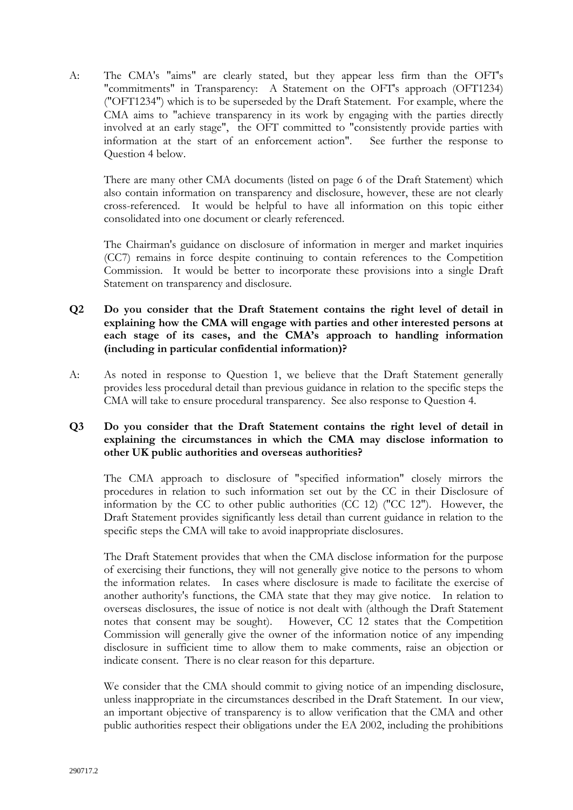A: The CMA's "aims" are clearly stated, but they appear less firm than the OFT's "commitments" in Transparency: A Statement on the OFT's approach (OFT1234) ("OFT1234") which is to be superseded by the Draft Statement. For example, where the CMA aims to "achieve transparency in its work by engaging with the parties directly involved at an early stage", the OFT committed to "consistently provide parties with information at the start of an enforcement action". See further the response to Question 4 below.

There are many other CMA documents (listed on page 6 of the Draft Statement) which also contain information on transparency and disclosure, however, these are not clearly cross-referenced. It would be helpful to have all information on this topic either consolidated into one document or clearly referenced.

The Chairman's guidance on disclosure of information in merger and market inquiries (CC7) remains in force despite continuing to contain references to the Competition Commission. It would be better to incorporate these provisions into a single Draft Statement on transparency and disclosure.

# **Q2 Do you consider that the Draft Statement contains the right level of detail in explaining how the CMA will engage with parties and other interested persons at each stage of its cases, and the CMA's approach to handling information (including in particular confidential information)?**

A: As noted in response to Question 1, we believe that the Draft Statement generally provides less procedural detail than previous guidance in relation to the specific steps the CMA will take to ensure procedural transparency. See also response to Question 4.

# **Q3 Do you consider that the Draft Statement contains the right level of detail in explaining the circumstances in which the CMA may disclose information to other UK public authorities and overseas authorities?**

The CMA approach to disclosure of "specified information" closely mirrors the procedures in relation to such information set out by the CC in their Disclosure of information by the CC to other public authorities (CC 12) ("CC 12"). However, the Draft Statement provides significantly less detail than current guidance in relation to the specific steps the CMA will take to avoid inappropriate disclosures.

The Draft Statement provides that when the CMA disclose information for the purpose of exercising their functions, they will not generally give notice to the persons to whom the information relates. In cases where disclosure is made to facilitate the exercise of another authority's functions, the CMA state that they may give notice. In relation to overseas disclosures, the issue of notice is not dealt with (although the Draft Statement notes that consent may be sought). However, CC 12 states that the Competition Commission will generally give the owner of the information notice of any impending disclosure in sufficient time to allow them to make comments, raise an objection or indicate consent. There is no clear reason for this departure.

We consider that the CMA should commit to giving notice of an impending disclosure, unless inappropriate in the circumstances described in the Draft Statement. In our view, an important objective of transparency is to allow verification that the CMA and other public authorities respect their obligations under the EA 2002, including the prohibitions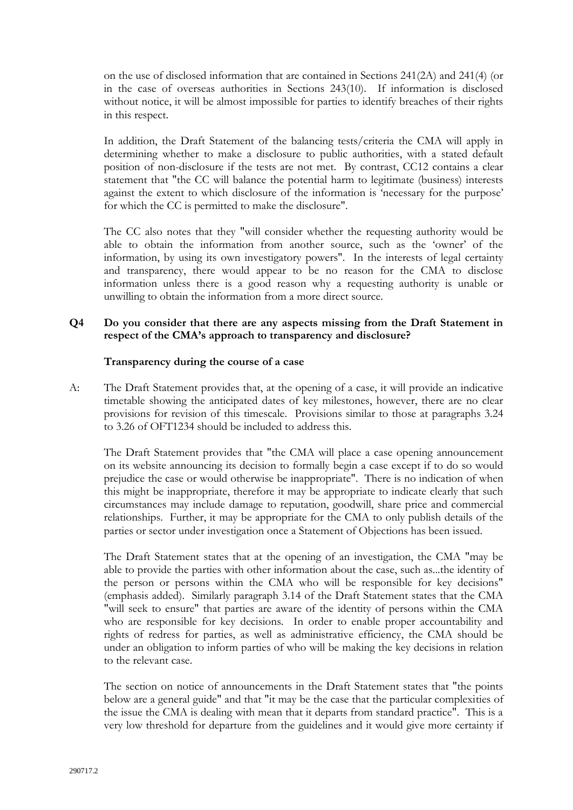on the use of disclosed information that are contained in Sections 241(2A) and 241(4) (or in the case of overseas authorities in Sections 243(10). If information is disclosed without notice, it will be almost impossible for parties to identify breaches of their rights in this respect.

In addition, the Draft Statement of the balancing tests/criteria the CMA will apply in determining whether to make a disclosure to public authorities, with a stated default position of non-disclosure if the tests are not met. By contrast, CC12 contains a clear statement that "the CC will balance the potential harm to legitimate (business) interests against the extent to which disclosure of the information is 'necessary for the purpose' for which the CC is permitted to make the disclosure".

The CC also notes that they "will consider whether the requesting authority would be able to obtain the information from another source, such as the 'owner' of the information, by using its own investigatory powers". In the interests of legal certainty and transparency, there would appear to be no reason for the CMA to disclose information unless there is a good reason why a requesting authority is unable or unwilling to obtain the information from a more direct source.

# **Q4 Do you consider that there are any aspects missing from the Draft Statement in respect of the CMA's approach to transparency and disclosure?**

### **Transparency during the course of a case**

A: The Draft Statement provides that, at the opening of a case, it will provide an indicative timetable showing the anticipated dates of key milestones, however, there are no clear provisions for revision of this timescale. Provisions similar to those at paragraphs 3.24 to 3.26 of OFT1234 should be included to address this.

The Draft Statement provides that "the CMA will place a case opening announcement on its website announcing its decision to formally begin a case except if to do so would prejudice the case or would otherwise be inappropriate". There is no indication of when this might be inappropriate, therefore it may be appropriate to indicate clearly that such circumstances may include damage to reputation, goodwill, share price and commercial relationships. Further, it may be appropriate for the CMA to only publish details of the parties or sector under investigation once a Statement of Objections has been issued.

The Draft Statement states that at the opening of an investigation, the CMA "may be able to provide the parties with other information about the case, such as...the identity of the person or persons within the CMA who will be responsible for key decisions" (emphasis added). Similarly paragraph 3.14 of the Draft Statement states that the CMA "will seek to ensure" that parties are aware of the identity of persons within the CMA who are responsible for key decisions. In order to enable proper accountability and rights of redress for parties, as well as administrative efficiency, the CMA should be under an obligation to inform parties of who will be making the key decisions in relation to the relevant case.

The section on notice of announcements in the Draft Statement states that "the points below are a general guide" and that "it may be the case that the particular complexities of the issue the CMA is dealing with mean that it departs from standard practice". This is a very low threshold for departure from the guidelines and it would give more certainty if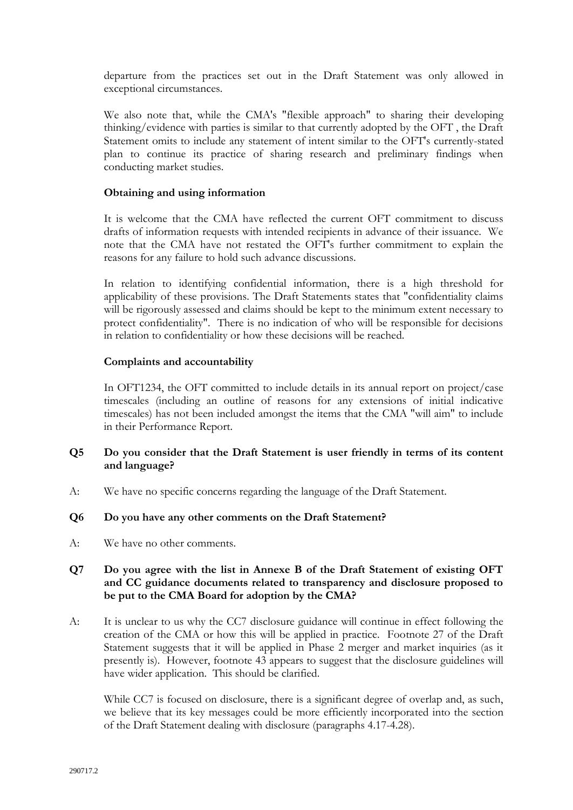departure from the practices set out in the Draft Statement was only allowed in exceptional circumstances.

We also note that, while the CMA's "flexible approach" to sharing their developing thinking/evidence with parties is similar to that currently adopted by the OFT , the Draft Statement omits to include any statement of intent similar to the OFT's currently-stated plan to continue its practice of sharing research and preliminary findings when conducting market studies.

### **Obtaining and using information**

It is welcome that the CMA have reflected the current OFT commitment to discuss drafts of information requests with intended recipients in advance of their issuance. We note that the CMA have not restated the OFT's further commitment to explain the reasons for any failure to hold such advance discussions.

In relation to identifying confidential information, there is a high threshold for applicability of these provisions. The Draft Statements states that "confidentiality claims will be rigorously assessed and claims should be kept to the minimum extent necessary to protect confidentiality". There is no indication of who will be responsible for decisions in relation to confidentiality or how these decisions will be reached.

### **Complaints and accountability**

In OFT1234, the OFT committed to include details in its annual report on project/case timescales (including an outline of reasons for any extensions of initial indicative timescales) has not been included amongst the items that the CMA "will aim" to include in their Performance Report.

# **Q5 Do you consider that the Draft Statement is user friendly in terms of its content and language?**

A: We have no specific concerns regarding the language of the Draft Statement.

#### **Q6 Do you have any other comments on the Draft Statement?**

A: We have no other comments.

# **Q7 Do you agree with the list in Annexe B of the Draft Statement of existing OFT and CC guidance documents related to transparency and disclosure proposed to be put to the CMA Board for adoption by the CMA?**

A: It is unclear to us why the CC7 disclosure guidance will continue in effect following the creation of the CMA or how this will be applied in practice. Footnote 27 of the Draft Statement suggests that it will be applied in Phase 2 merger and market inquiries (as it presently is). However, footnote 43 appears to suggest that the disclosure guidelines will have wider application. This should be clarified.

While CC7 is focused on disclosure, there is a significant degree of overlap and, as such, we believe that its key messages could be more efficiently incorporated into the section of the Draft Statement dealing with disclosure (paragraphs 4.17-4.28).